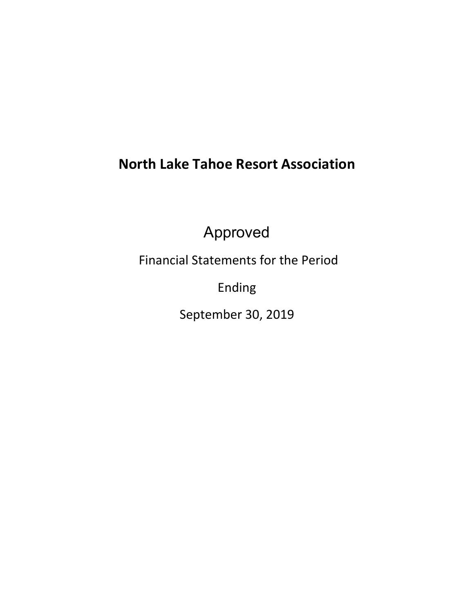# **North Lake Tahoe Resort Association**

Approved

Financial Statements for the Period

Ending

September 30, 2019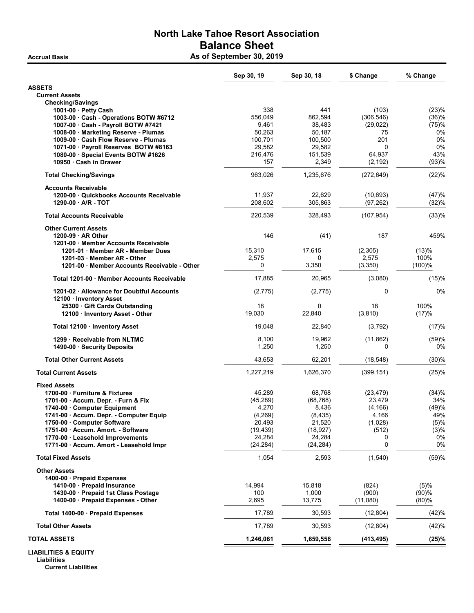# North Lake Tahoe Resort Association Balance Sheet Accrual Basis **As of September 30, 2019**

|                                                                               | Sep 30, 19         | Sep 30, 18         | \$ Change           | % Change     |
|-------------------------------------------------------------------------------|--------------------|--------------------|---------------------|--------------|
| <b>ASSETS</b>                                                                 |                    |                    |                     |              |
| <b>Current Assets</b>                                                         |                    |                    |                     |              |
| <b>Checking/Savings</b>                                                       |                    |                    |                     |              |
| 1001-00 · Petty Cash                                                          | 338                | 441                | (103)               | (23)%        |
| 1003-00 Cash - Operations BOTW #6712                                          | 556,049            | 862,594            | (306, 546)          | (36)%        |
| 1007-00 Cash - Payroll BOTW #7421                                             | 9,461              | 38,483             | (29, 022)           | (75)%        |
| 1008-00 Marketing Reserve - Plumas                                            | 50,263             | 50,187             | 75                  | 0%           |
| 1009-00 · Cash Flow Reserve - Plumas<br>1071-00 · Payroll Reserves BOTW #8163 | 100,701<br>29,582  | 100,500<br>29,582  | 201<br>$\Omega$     | 0%<br>0%     |
| 1080-00 · Special Events BOTW #1626                                           | 216,476            | 151,539            | 64,937              | 43%          |
| 10950 Cash in Drawer                                                          | 157                | 2,349              | (2, 192)            | (93)%        |
|                                                                               |                    |                    |                     |              |
| <b>Total Checking/Savings</b>                                                 | 963,026            | 1,235,676          | (272, 649)          | (22)%        |
| <b>Accounts Receivable</b>                                                    |                    |                    |                     |              |
| 1200-00 Quickbooks Accounts Receivable                                        | 11,937             | 22,629             | (10, 693)           | (47)%        |
| 1290-00 A/R - TOT                                                             | 208,602            | 305,863            | (97, 262)           | (32)%        |
| <b>Total Accounts Receivable</b>                                              | 220,539            | 328,493            | (107, 954)          | (33)%        |
| <b>Other Current Assets</b>                                                   |                    |                    |                     |              |
| 1200-99 AR Other                                                              | 146                | (41)               | 187                 | 459%         |
| 1201-00 Member Accounts Receivable                                            |                    |                    |                     |              |
| 1201-01 Member AR - Member Dues                                               | 15,310             | 17,615             | (2,305)             | (13)%        |
| 1201-03 Member AR - Other                                                     | 2,575              | 0                  | 2,575               | 100%         |
| 1201-00 Member Accounts Receivable - Other                                    | 0                  | 3,350              | (3,350)             | (100)%       |
| Total 1201-00 Member Accounts Receivable                                      | 17,885             | 20,965             | (3,080)             | (15)%        |
| 1201-02 · Allowance for Doubtful Accounts                                     | (2,775)            | (2, 775)           | 0                   | 0%           |
| 12100 · Inventory Asset<br>25300 Gift Cards Outstanding                       | 18                 | 0                  | 18                  | 100%         |
| 12100 · Inventory Asset - Other                                               | 19,030             | 22,840             | (3,810)             | (17)%        |
| Total 12100 · Inventory Asset                                                 | 19,048             | 22,840             | (3,792)             | (17)%        |
| 1299 · Receivable from NLTMC                                                  | 8,100              | 19,962             | (11, 862)           | (59)%        |
| 1490-00 · Security Deposits                                                   | 1,250              | 1,250              | 0                   | 0%           |
|                                                                               |                    |                    |                     |              |
| <b>Total Other Current Assets</b>                                             | 43,653             | 62,201             | (18, 548)           | (30)%        |
| <b>Total Current Assets</b>                                                   | 1,227,219          | 1,626,370          | (399, 151)          | (25)%        |
| <b>Fixed Assets</b>                                                           |                    |                    |                     |              |
| 1700-00 · Furniture & Fixtures                                                | 45,289             | 68,768             | (23, 479)<br>23.479 | (34)%        |
| 1701-00 Accum. Depr. - Furn & Fix<br>1740-00 Computer Equipment               | (45, 289)<br>4,270 | (68, 768)<br>8,436 | (4, 166)            | 34%<br>(49)% |
| 1741-00 · Accum. Depr. - Computer Equip                                       | (4, 269)           | (8, 435)           | 4,166               | 49%          |
| 1750-00 Computer Software                                                     | 20,493             | 21,520             | (1,028)             | (5)%         |
| 1751-00 · Accum. Amort. - Software                                            | (19, 439)          | (18, 927)          | (512)               | (3)%         |
| 1770-00 · Leasehold Improvements                                              | 24,284             | 24,284             | 0                   | 0%           |
| 1771-00 · Accum. Amort - Leasehold Impr                                       | (24, 284)          | (24, 284)          | $\mathbf 0$         | 0%           |
| <b>Total Fixed Assets</b>                                                     | 1,054              | 2,593              | (1, 540)            | (59)%        |
| <b>Other Assets</b>                                                           |                    |                    |                     |              |
| 1400-00 · Prepaid Expenses                                                    |                    |                    |                     |              |
| 1410-00 Prepaid Insurance                                                     | 14,994             | 15,818             | (824)               | (5)%         |
| 1430-00 Prepaid 1st Class Postage                                             | 100                | 1,000              | (900)               | (90)%        |
| 1400-00 · Prepaid Expenses - Other                                            | 2,695              | 13,775             | (11,080)            | $(80) \%$    |
| Total 1400-00 · Prepaid Expenses                                              | 17,789             | 30,593             | (12, 804)           | (42)%        |
| <b>Total Other Assets</b>                                                     | 17,789             | 30,593             | (12, 804)           | (42)%        |
| <b>TOTAL ASSETS</b>                                                           | 1,246,061          | 1,659,556          | (413, 495)          | (25)%        |
| <b>LIABILITIES &amp; EQUITY</b>                                               |                    |                    |                     |              |

Liabilities Current Liabilities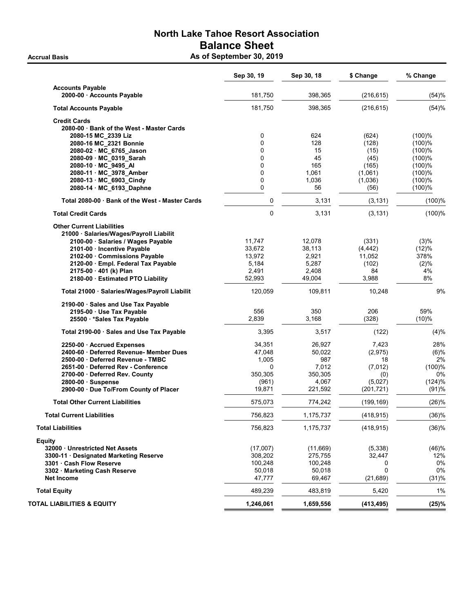# North Lake Tahoe Resort Association Balance Sheet Accrual Basis **Accrual Basis** As of September 30, 2019

|                                                 | Sep 30, 19  | Sep 30, 18 | \$ Change  | % Change  |
|-------------------------------------------------|-------------|------------|------------|-----------|
| <b>Accounts Payable</b>                         |             |            |            |           |
| 2000-00 Accounts Payable                        | 181,750     | 398,365    | (216, 615) | (54)%     |
| <b>Total Accounts Payable</b>                   | 181,750     | 398,365    | (216, 615) | (54)%     |
| <b>Credit Cards</b>                             |             |            |            |           |
| 2080-00 · Bank of the West - Master Cards       |             |            |            |           |
| 2080-15 MC 2339 Liz                             | 0           | 624        | (624)      | $(100)\%$ |
| 2080-16 MC_2321 Bonnie                          | $\mathbf 0$ | 128        | (128)      | (100)%    |
| 2080-02 MC 6765 Jason                           | 0           | 15         | (15)       | (100)%    |
| 2080-09 MC_0319_Sarah                           | $\mathbf 0$ | 45         | (45)       | (100)%    |
| 2080-10 MC 9495 AI                              | 0           | 165        | (165)      | (100)%    |
| 2080-11 MC_3978_Amber                           | 0           | 1,061      | (1,061)    | $(100)$ % |
| 2080-13 MC_6903_Cindy                           | $\mathbf 0$ | 1,036      | (1,036)    | (100)%    |
| 2080-14 MC_6193_Daphne                          | 0           | 56         | (56)       | (100)%    |
| Total 2080-00 · Bank of the West - Master Cards | 0           | 3,131      | (3, 131)   | (100)%    |
| <b>Total Credit Cards</b>                       | 0           | 3,131      |            |           |
|                                                 |             |            | (3, 131)   | (100)%    |
| <b>Other Current Liabilities</b>                |             |            |            |           |
| 21000 · Salaries/Wages/Payroll Liabilit         |             |            |            |           |
| 2100-00 · Salaries / Wages Payable              | 11,747      | 12,078     | (331)      | (3)%      |
| 2101-00 - Incentive Payable                     | 33,672      | 38,113     | (4, 442)   | (12)%     |
| 2102-00 Commissions Payable                     | 13,972      | 2,921      | 11,052     | 378%      |
| 2120-00 · Empl. Federal Tax Payable             | 5,184       | 5,287      | (102)      | (2)%      |
| 2175-00 · 401 (k) Plan                          | 2,491       | 2,408      | 84         | 4%        |
| 2180-00 Estimated PTO Liability                 | 52,993      | 49,004     | 3,988      | 8%        |
| Total 21000 · Salaries/Wages/Payroll Liabilit   | 120,059     | 109,811    | 10,248     | 9%        |
| 2190-00 · Sales and Use Tax Payable             |             |            |            |           |
| 2195-00 · Use Tax Payable                       | 556         | 350        | 206        | 59%       |
| 25500 * Sales Tax Payable                       | 2,839       | 3,168      | (328)      | (10)%     |
| Total 2190-00 · Sales and Use Tax Payable       | 3,395       | 3,517      | (122)      | (4)%      |
| 2250-00 · Accrued Expenses                      | 34,351      | 26,927     | 7,423      | 28%       |
| 2400-60 Deferred Revenue- Member Dues           | 47,048      | 50,022     | (2, 975)   | (6)%      |
| 2500-00 Deferred Revenue - TMBC                 | 1,005       | 987        | 18         | 2%        |
| 2651-00 Deferred Rev - Conference               | 0           | 7,012      | (7,012)    | (100)%    |
| 2700-00 Deferred Rev. County                    | 350,305     | 350,305    | (0)        | 0%        |
| 2800-00 Suspense                                | (961)       | 4,067      | (5,027)    | (124)%    |
| 2900-00 · Due To/From County of Placer          | 19,871      | 221,592    | (201, 721) | (91)%     |
| <b>Total Other Current Liabilities</b>          | 575,073     | 774,242    | (199, 169) | (26)%     |
| <b>Total Current Liabilities</b>                | 756,823     | 1,175,737  | (418, 915) | (36)%     |
| <b>Total Liabilities</b>                        | 756,823     | 1,175,737  | (418, 915) | (36)%     |
| Equity                                          |             |            |            |           |
| 32000 Unrestricted Net Assets                   | (17,007)    | (11,669)   | (5, 338)   | (46)%     |
| 3300-11 · Designated Marketing Reserve          | 308,202     | 275,755    | 32,447     | 12%       |
| 3301 Cash Flow Reserve                          | 100,248     | 100,248    | 0          | 0%        |
| 3302 · Marketing Cash Reserve                   | 50,018      | 50,018     | 0          | 0%        |
| <b>Net Income</b>                               | 47,777      | 69,467     | (21, 689)  | (31)%     |
| <b>Total Equity</b>                             | 489,239     | 483,819    | 5,420      | 1%        |
| TOTAL LIABILITIES & EQUITY                      | 1,246,061   | 1,659,556  | (413, 495) | (25)%     |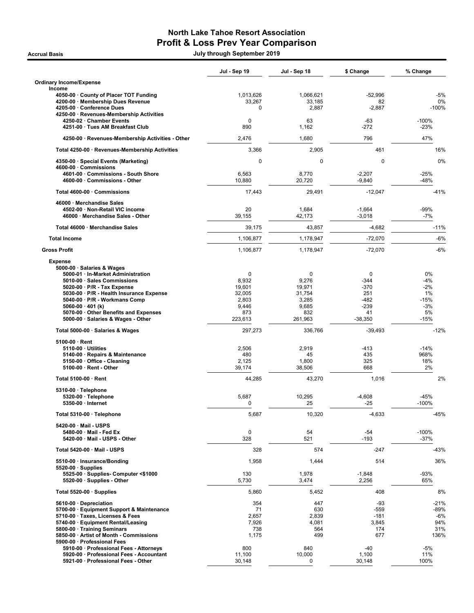# North Lake Tahoe Resort Association Profit & Loss Prev Year Comparison

Accrual Basis July through September 2019

|                                                                             | Jul - Sep 19        | Jul - Sep 18        | \$ Change       | % Change          |
|-----------------------------------------------------------------------------|---------------------|---------------------|-----------------|-------------------|
| <b>Ordinary Income/Expense</b><br>Income                                    |                     |                     |                 |                   |
| 4050-00 · County of Placer TOT Funding<br>4200-00 · Membership Dues Revenue | 1,013,626<br>33,267 | 1,066,621<br>33,185 | $-52,996$<br>82 | $-5%$<br>0%       |
| 4205-00 · Conference Dues<br>4250-00 · Revenues-Membership Activities       | $\Omega$            | 2,887               | $-2,887$        | $-100%$           |
| 4250-02 · Chamber Events                                                    | 0                   | 63                  | -63             | $-100%$           |
| 4251-00 · Tues AM Breakfast Club                                            | 890                 | 1,162               | -272            | $-23%$            |
| 4250-00 · Revenues-Membership Activities - Other                            | 2,476               | 1,680               | 796             | 47%               |
| Total 4250-00 · Revenues-Membership Activities                              | 3,366               | 2,905               | 461             | 16%               |
| 4350-00 · Special Events (Marketing)                                        | $\mathbf 0$         | 0                   | $\mathbf 0$     | 0%                |
| 4600-00 · Commissions<br>4601-00 Commissions - South Shore                  | 6,563               | 8,770               | $-2,207$        | $-25%$            |
| 4600-00 · Commissions - Other                                               | 10,880              | 20,720              | $-9,840$        | $-48%$            |
| Total 4600-00 · Commissions                                                 | 17,443              | 29,491              | $-12,047$       | -41%              |
| 46000 · Merchandise Sales<br>4502-00 · Non-Retail VIC income                | 20                  | 1,684               | $-1,664$        | $-99%$            |
| 46000 · Merchandise Sales - Other                                           | 39,155              | 42,173              | $-3,018$        | $-7%$             |
| Total 46000 · Merchandise Sales                                             | 39,175              | 43,857              | $-4,682$        | $-11%$            |
| <b>Total Income</b>                                                         | 1,106,877           | 1,178,947           | $-72,070$       | $-6%$             |
| <b>Gross Profit</b>                                                         | 1,106,877           | 1,178,947           | $-72,070$       | $-6%$             |
| <b>Expense</b>                                                              |                     |                     |                 |                   |
| 5000-00 · Salaries & Wages<br>5000-01 · In-Market Administration            | $\mathbf 0$         | 0                   | 0               | 0%                |
| 5010-00 · Sales Commissions                                                 | 8,932               | 9,276               | -344            | $-4%$             |
| $5020-00 \cdot P/R$ - Tax Expense                                           | 19,601              | 19,971              | $-370$          | $-2%$             |
| 5030-00 · P/R - Health Insurance Expense                                    | 32,005              | 31,754              | 251             | 1%                |
| 5040-00 · P/R - Workmans Comp<br>5060-00 $\cdot$ 401 (k)                    | 2,803<br>9,446      | 3,285<br>9,685      | -482<br>$-239$  | $-15%$<br>$-3%$   |
| 5070-00 · Other Benefits and Expenses                                       | 873                 | 832                 | 41              | 5%                |
| 5000-00 · Salaries & Wages - Other                                          | 223,613             | 261,963             | $-38,350$       | $-15%$            |
| Total 5000-00 · Salaries & Wages                                            | 297,273             | 336,766             | $-39,493$       | $-12%$            |
| $5100-00 \cdot$ Rent                                                        |                     |                     |                 |                   |
| $5110-00 \cdot$ Utilities<br>5140-00 · Repairs & Maintenance                | 2,506<br>480        | 2,919<br>45         | -413<br>435     | $-14%$<br>968%    |
| 5150-00 Office - Cleaning                                                   | 2,125               | 1,800               | 325             | 18%               |
| 5100-00 · Rent - Other                                                      | 39,174              | 38,506              | 668             | 2%                |
| Total 5100-00 · Rent                                                        | 44,285              | 43,270              | 1,016           | 2%                |
| 5310-00 · Telephone                                                         |                     |                     |                 |                   |
| 5320-00 · Telephone<br>$5350-00$ · Internet                                 | 5,687<br>0          | 10,295<br>25        | $-4,608$<br>-25 | $-45%$<br>$-100%$ |
| Total 5310-00 · Telephone                                                   | 5,687               | 10,320              | $-4,633$        | $-45%$            |
| 5420-00 · Mail - USPS                                                       |                     |                     |                 |                   |
| 5480-00 · Mail - Fed Ex                                                     | $\mathbf 0$         | 54                  | $-54$           | $-100%$           |
| 5420-00 · Mail - USPS - Other                                               | 328                 | 521                 | $-193$          | $-37%$            |
| Total 5420-00 · Mail - USPS                                                 | 328                 | 574                 | $-247$          | -43%              |
| 5510-00 · Insurance/Bonding<br>$5520-00 \cdot$ Supplies                     | 1,958               | 1,444               | 514             | 36%               |
| 5525-00 · Supplies- Computer <\$1000                                        | 130                 | 1,978               | $-1,848$        | $-93%$            |
| 5520-00 · Supplies - Other                                                  | 5,730               | 3,474               | 2,256           | 65%               |
| Total 5520-00 $\cdot$ Supplies                                              | 5,860               | 5,452               | 408             | 8%                |
| 5610-00 Depreciation                                                        | 354                 | 447                 | $-93$           | $-21%$            |
| 5700-00 · Equipment Support & Maintenance                                   | 71                  | 630                 | -559            | -89%              |
| 5710-00 · Taxes, Licenses & Fees<br>5740-00 · Equipment Rental/Leasing      | 2,657<br>7,926      | 2,839<br>4,081      | $-181$<br>3,845 | $-6%$<br>94%      |
| 5800-00 · Training Seminars                                                 | 738                 | 564                 | 174             | 31%               |
| 5850-00 · Artist of Month - Commissions                                     | 1,175               | 499                 | 677             | 136%              |
| 5900-00 · Professional Fees                                                 |                     |                     |                 |                   |
| 5910-00 · Professional Fees - Attorneys                                     | 800                 | 840                 | $-40$           | $-5%$             |
| 5920-00 · Professional Fees - Accountant                                    | 11,100              | 10,000              | 1,100           | 11%               |
| 5921-00 · Professional Fees - Other                                         | 30,148              | 0                   | 30,148          | 100%              |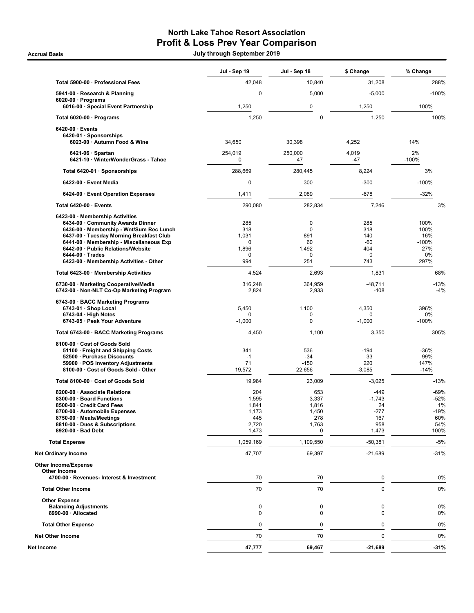## North Lake Tahoe Resort Association Profit & Loss Prev Year Comparison

Accrual Basis July through September 2019

|                                                                                                                                                                                                                                                                                                                   | Jul - Sep 19                                            | Jul - Sep 18                                        | \$ Change                                               | % Change                                             |
|-------------------------------------------------------------------------------------------------------------------------------------------------------------------------------------------------------------------------------------------------------------------------------------------------------------------|---------------------------------------------------------|-----------------------------------------------------|---------------------------------------------------------|------------------------------------------------------|
| Total 5900-00 · Professional Fees                                                                                                                                                                                                                                                                                 | 42,048                                                  | 10,840                                              | 31,208                                                  | 288%                                                 |
| 5941-00 · Research & Planning                                                                                                                                                                                                                                                                                     | 0                                                       | 5,000                                               | $-5,000$                                                | $-100%$                                              |
| $6020-00 \cdot$ Programs<br>6016-00 · Special Event Partnership                                                                                                                                                                                                                                                   | 1,250                                                   | 0                                                   | 1,250                                                   | 100%                                                 |
| Total 6020-00 · Programs                                                                                                                                                                                                                                                                                          | 1,250                                                   | 0                                                   | 1,250                                                   | 100%                                                 |
| $6420-00 \cdot$ Events                                                                                                                                                                                                                                                                                            |                                                         |                                                     |                                                         |                                                      |
| 6420-01 · Sponsorships<br>6023-00 · Autumn Food & Wine                                                                                                                                                                                                                                                            | 34,650                                                  | 30,398                                              | 4,252                                                   | 14%                                                  |
| $6421-06 \cdot$ Spartan<br>6421-10 · WinterWonderGrass - Tahoe                                                                                                                                                                                                                                                    | 254,019<br>0                                            | 250.000<br>47                                       | 4,019<br>-47                                            | 2%<br>$-100%$                                        |
| Total 6420-01 · Sponsorships                                                                                                                                                                                                                                                                                      | 288,669                                                 | 280,445                                             | 8,224                                                   | 3%                                                   |
| 6422-00 · Event Media                                                                                                                                                                                                                                                                                             | $\mathbf 0$                                             | 300                                                 | $-300$                                                  | $-100%$                                              |
| 6424-00 · Event Operation Expenses                                                                                                                                                                                                                                                                                | 1,411                                                   | 2,089                                               | -678                                                    | $-32%$                                               |
| Total 6420-00 · Events                                                                                                                                                                                                                                                                                            | 290,080                                                 | 282,834                                             | 7,246                                                   | 3%                                                   |
| 6423-00 · Membership Activities<br>6434-00 Community Awards Dinner<br>6436-00 · Membership - Wnt/Sum Rec Lunch<br>6437-00 · Tuesday Morning Breakfast Club<br>6441-00 · Membership - Miscellaneous Exp<br>6442-00 · Public Relations/Website<br>$6444-00 \cdot Trades$<br>6423-00 · Membership Activities - Other | 285<br>318<br>1,031<br>0<br>1,896<br>0<br>994           | 0<br>$\mathbf 0$<br>891<br>60<br>1,492<br>0<br>251  | 285<br>318<br>140<br>-60<br>404<br>0<br>743             | 100%<br>100%<br>16%<br>$-100%$<br>27%<br>0%<br>297%  |
| Total 6423-00 · Membership Activities                                                                                                                                                                                                                                                                             | 4,524                                                   | 2,693                                               | 1,831                                                   | 68%                                                  |
| 6730-00 · Marketing Cooperative/Media<br>6742-00 · Non-NLT Co-Op Marketing Program                                                                                                                                                                                                                                | 316,248<br>2,824                                        | 364,959<br>2,933                                    | $-48,711$<br>$-108$                                     | $-13%$<br>$-4%$                                      |
| 6743-00 · BACC Marketing Programs<br>6743-01 · Shop Local<br>$6743-04 \cdot$ High Notes<br>6743-05 · Peak Your Adventure                                                                                                                                                                                          | 5,450<br>0<br>$-1,000$                                  | 1,100<br>0<br>$\pmb{0}$                             | 4,350<br>0<br>$-1,000$                                  | 396%<br>0%<br>$-100%$                                |
| Total 6743-00 · BACC Marketing Programs                                                                                                                                                                                                                                                                           | 4,450                                                   | 1,100                                               | 3,350                                                   | 305%                                                 |
| 8100-00 · Cost of Goods Sold<br>51100 · Freight and Shipping Costs<br>52500 · Purchase Discounts<br>59900 · POS Inventory Adjustments<br>8100-00 · Cost of Goods Sold - Other                                                                                                                                     | 341<br>$-1$<br>71<br>19,572                             | 536<br>$-34$<br>$-150$<br>22,656                    | $-194$<br>33<br>220<br>$-3,085$                         | -36%<br>99%<br>147%<br>$-14%$                        |
| Total 8100-00 · Cost of Goods Sold                                                                                                                                                                                                                                                                                | 19,984                                                  | 23,009                                              | $-3,025$                                                | $-13%$                                               |
| 8200-00 · Associate Relations<br>8300-00 · Board Functions<br>8500-00 · Credit Card Fees<br>8700-00 · Automobile Expenses<br>8750-00 · Meals/Meetings<br>8810-00 · Dues & Subscriptions<br>8920-00 · Bad Debt                                                                                                     | 204<br>1,595<br>1,841<br>1.173<br>445<br>2,720<br>1,473 | 653<br>3,337<br>1,816<br>1,450<br>278<br>1,763<br>0 | -449<br>$-1,743$<br>24<br>$-277$<br>167<br>958<br>1,473 | $-69%$<br>-52%<br>1%<br>$-19%$<br>60%<br>54%<br>100% |
| <b>Total Expense</b>                                                                                                                                                                                                                                                                                              | 1,059,169                                               | 1,109,550                                           | $-50,381$                                               | $-5%$                                                |
| <b>Net Ordinary Income</b>                                                                                                                                                                                                                                                                                        | 47,707                                                  | 69,397                                              | $-21,689$                                               | $-31%$                                               |
| <b>Other Income/Expense</b><br>Other Income                                                                                                                                                                                                                                                                       |                                                         |                                                     |                                                         |                                                      |
| 4700-00 · Revenues- Interest & Investment                                                                                                                                                                                                                                                                         | 70                                                      | 70                                                  | 0                                                       | 0%                                                   |
| <b>Total Other Income</b>                                                                                                                                                                                                                                                                                         | 70                                                      | 70                                                  | $\pmb{0}$                                               | 0%                                                   |
| <b>Other Expense</b><br><b>Balancing Adjustments</b><br>8990-00 · Allocated                                                                                                                                                                                                                                       | 0<br>0                                                  | 0<br>0                                              | 0<br>0                                                  | 0%<br>0%                                             |
| <b>Total Other Expense</b>                                                                                                                                                                                                                                                                                        | $\mathbf 0$                                             | $\mathbf 0$                                         | 0                                                       | 0%                                                   |
| <b>Net Other Income</b>                                                                                                                                                                                                                                                                                           | 70                                                      | 70                                                  | 0                                                       | 0%                                                   |
| Net Income                                                                                                                                                                                                                                                                                                        | 47,777                                                  | 69,467                                              | $-21,689$                                               | $-31%$                                               |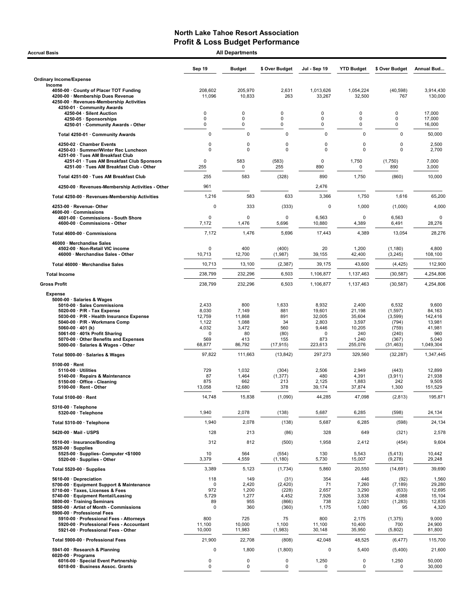| <b>Accrual Basis</b>                                                                                                                                                                                                                                                                                                                     | <b>All Departments</b>                                                     |                                                                 |                                                              |                                                                           |                                                                         |                                                                               |                                                                             |
|------------------------------------------------------------------------------------------------------------------------------------------------------------------------------------------------------------------------------------------------------------------------------------------------------------------------------------------|----------------------------------------------------------------------------|-----------------------------------------------------------------|--------------------------------------------------------------|---------------------------------------------------------------------------|-------------------------------------------------------------------------|-------------------------------------------------------------------------------|-----------------------------------------------------------------------------|
|                                                                                                                                                                                                                                                                                                                                          | Sep 19                                                                     | <b>Budget</b>                                                   | \$ Over Budget                                               | Jul - Sep 19                                                              | <b>YTD Budget</b>                                                       | \$ Over Budget                                                                | Annual Bud                                                                  |
| <b>Ordinary Income/Expense</b>                                                                                                                                                                                                                                                                                                           |                                                                            |                                                                 |                                                              |                                                                           |                                                                         |                                                                               |                                                                             |
| Income<br>4050-00 County of Placer TOT Funding<br>4200-00 · Membership Dues Revenue<br>4250-00 · Revenues-Membership Activities<br>4250-01 · Community Awards                                                                                                                                                                            | 208.602<br>11,096                                                          | 205,970<br>10,833                                               | 2,631<br>263                                                 | 1,013,626<br>33,267                                                       | 1,054,224<br>32,500                                                     | (40, 598)<br>767                                                              | 3,914,430<br>130,000                                                        |
| 4250-04 · Silent Auction                                                                                                                                                                                                                                                                                                                 | 0                                                                          | 0                                                               | 0                                                            | 0                                                                         | 0                                                                       | 0                                                                             | 17,000                                                                      |
| 4250-05 · Sponsorships<br>4250-01 Community Awards - Other                                                                                                                                                                                                                                                                               | 0<br>0                                                                     | 0<br>0                                                          | 0<br>$\Omega$                                                | 0<br>0                                                                    | 0<br>0                                                                  | 0<br>$\mathbf 0$                                                              | 17,000<br>16,000                                                            |
| Total 4250-01 · Community Awards                                                                                                                                                                                                                                                                                                         | 0                                                                          | $\mathbf 0$                                                     | $\mathbf 0$                                                  | $\mathbf 0$                                                               | $\mathbf 0$                                                             | $\pmb{0}$                                                                     | 50,000                                                                      |
| 4250-02 · Chamber Events                                                                                                                                                                                                                                                                                                                 | 0                                                                          | 0                                                               | 0                                                            | 0                                                                         | 0                                                                       | 0                                                                             | 2,500                                                                       |
| 4250-03 · Summer/Winter Rec Luncheon<br>4251-00 · Tues AM Breakfast Club<br>4251-01 · Tues AM Breakfast Club Sponsors                                                                                                                                                                                                                    | $\Omega$<br>0                                                              | $\Omega$<br>583                                                 | $\mathbf 0$<br>(583)                                         | $\mathbf 0$<br>0                                                          | 0<br>1,750                                                              | 0<br>(1,750)                                                                  | 2,700<br>7,000                                                              |
| 4251-00 · Tues AM Breakfast Club - Other                                                                                                                                                                                                                                                                                                 | 255                                                                        | 0                                                               | 255                                                          | 890                                                                       | 0                                                                       | 890                                                                           | 3,000                                                                       |
| Total 4251-00 · Tues AM Breakfast Club                                                                                                                                                                                                                                                                                                   | 255                                                                        | 583                                                             | (328)                                                        | 890                                                                       | 1,750                                                                   | (860)                                                                         | 10,000                                                                      |
| 4250-00 · Revenues-Membership Activities - Other                                                                                                                                                                                                                                                                                         | 961                                                                        |                                                                 |                                                              | 2,476                                                                     |                                                                         |                                                                               |                                                                             |
| Total 4250-00 · Revenues-Membership Activities                                                                                                                                                                                                                                                                                           | 1,216                                                                      | 583                                                             | 633                                                          | 3,366                                                                     | 1,750                                                                   | 1,616                                                                         | 65,200                                                                      |
| 4253-00 · Revenue-Other<br>4600-00 Commissions                                                                                                                                                                                                                                                                                           | $\pmb{0}$                                                                  | 333                                                             | (333)                                                        | 0                                                                         | 1,000                                                                   | (1,000)                                                                       | 4,000                                                                       |
| 4601-00 Commissions - South Shore<br>4600-00 · Commissions - Other                                                                                                                                                                                                                                                                       | 0<br>7,172                                                                 | $\mathbf 0$<br>1,476                                            | $\mathbf 0$<br>5,696                                         | 6,563<br>10,880                                                           | $\mathbf 0$<br>4,389                                                    | 6,563<br>6,491                                                                | $\mathbf 0$<br>28,276                                                       |
| Total 4600-00 · Commissions                                                                                                                                                                                                                                                                                                              | 7,172                                                                      | 1,476                                                           | 5,696                                                        | 17,443                                                                    | 4,389                                                                   | 13,054                                                                        | 28,276                                                                      |
| 46000 · Merchandise Sales<br>4502-00 · Non-Retail VIC income<br>46000 · Merchandise Sales - Other                                                                                                                                                                                                                                        | $\Omega$<br>10,713                                                         | 400<br>12,700                                                   | (400)<br>(1,987)                                             | 20<br>39,155                                                              | 1,200<br>42,400                                                         | (1, 180)<br>(3, 245)                                                          | 4,800<br>108,100                                                            |
| Total 46000 · Merchandise Sales                                                                                                                                                                                                                                                                                                          | 10,713                                                                     | 13,100                                                          | (2, 387)                                                     | 39,175                                                                    | 43,600                                                                  | (4, 425)                                                                      | 112,900                                                                     |
| <b>Total Income</b>                                                                                                                                                                                                                                                                                                                      | 238,799                                                                    | 232,296                                                         | 6,503                                                        | 1,106,877                                                                 | 1,137,463                                                               | (30, 587)                                                                     | 4,254,806                                                                   |
| <b>Gross Profit</b>                                                                                                                                                                                                                                                                                                                      | 238,799                                                                    | 232,296                                                         | 6,503                                                        | 1,106,877                                                                 | 1,137,463                                                               | (30, 587)                                                                     | 4,254,806                                                                   |
| <b>Expense</b><br>5000-00 · Salaries & Wages<br>5010-00 · Sales Commissions<br>$5020-00 \cdot P/R$ - Tax Expense<br>5030-00 · P/R - Health Insurance Expense<br>5040-00 · P/R - Workmans Comp<br>5060-00 $\cdot$ 401 (k)<br>5061-00 · 401k Profit Sharing<br>5070-00 · Other Benefits and Expenses<br>5000-00 · Salaries & Wages - Other | 2,433<br>8,030<br>12,759<br>1,122<br>4,032<br>$\mathbf 0$<br>569<br>68,877 | 800<br>7,149<br>11,868<br>1,088<br>3,472<br>80<br>413<br>86,792 | 1,633<br>881<br>891<br>34<br>560<br>(80)<br>155<br>(17, 915) | 8,932<br>19,601<br>32,005<br>2,803<br>9,446<br>$\Omega$<br>873<br>223,613 | 2,400<br>21,198<br>35,604<br>3,597<br>10,205<br>240<br>1,240<br>255,076 | 6,532<br>(1, 597)<br>(3,599)<br>(794)<br>(759)<br>(240)<br>(367)<br>(31, 463) | 9,600<br>84,163<br>142,416<br>13,981<br>41,981<br>960<br>5,040<br>1.049.304 |
| Total 5000-00 · Salaries & Wages                                                                                                                                                                                                                                                                                                         | 97,822                                                                     | 111,663                                                         | (13, 842)                                                    | 297,273                                                                   | 329,560                                                                 | (32, 287)                                                                     | 1,347,445                                                                   |
| $5100-00 \cdot$ Rent<br>$5110-00 \cdot$ Utilities<br>5140-00 · Repairs & Maintenance<br>5150-00 · Office - Cleaning<br>5100-00 · Rent - Other                                                                                                                                                                                            | 729<br>87<br>875<br>13,058                                                 | 1,032<br>1,464<br>662<br>12,680                                 | (304)<br>(1, 377)<br>213<br>378                              | 2,506<br>480<br>2,125<br>39,174                                           | 2,949<br>4,391<br>1,883<br>37,874                                       | (443)<br>(3,911)<br>242<br>1,300                                              | 12,899<br>21,938<br>9,505<br>151,529                                        |
| Total 5100-00 · Rent                                                                                                                                                                                                                                                                                                                     | 14,748                                                                     | 15,838                                                          | (1,090)                                                      | 44,285                                                                    | 47,098                                                                  | (2, 813)                                                                      | 195,871                                                                     |
| 5310-00 · Telephone<br>5320-00 · Telephone                                                                                                                                                                                                                                                                                               | 1,940                                                                      | 2,078                                                           | (138)                                                        | 5,687                                                                     | 6,285                                                                   | (598)                                                                         | 24,134                                                                      |
| Total 5310-00 · Telephone                                                                                                                                                                                                                                                                                                                | 1,940                                                                      | 2,078                                                           | (138)                                                        | 5,687                                                                     | 6,285                                                                   | (598)                                                                         | 24,134                                                                      |
| 5420-00 · Mail - USPS                                                                                                                                                                                                                                                                                                                    | 128                                                                        | 213                                                             | (86)                                                         | 328                                                                       | 649                                                                     | (321)                                                                         | 2,578                                                                       |
| 5510-00 · Insurance/Bonding<br>$5520-00 \cdot$ Supplies                                                                                                                                                                                                                                                                                  | 312                                                                        | 812                                                             | (500)                                                        | 1,958                                                                     | 2,412                                                                   | (454)                                                                         | 9,604                                                                       |
| 5525-00 · Supplies- Computer <\$1000<br>5520-00 · Supplies - Other                                                                                                                                                                                                                                                                       | 10<br>3,379                                                                | 564<br>4,559                                                    | (554)<br>(1, 180)                                            | 130<br>5,730                                                              | 5,543<br>15,007                                                         | (5, 413)<br>(9,278)                                                           | 10,442<br>29,248                                                            |
| Total 5520-00 · Supplies                                                                                                                                                                                                                                                                                                                 | 3,389                                                                      | 5,123                                                           | (1,734)                                                      | 5,860                                                                     | 20,550                                                                  | (14, 691)                                                                     | 39,690                                                                      |
| 5610-00 · Depreciation<br>5700-00 · Equipment Support & Maintenance<br>5710-00 · Taxes, Licenses & Fees<br>5740-00 · Equipment Rental/Leasing<br>5800-00 · Training Seminars<br>5850-00 · Artist of Month - Commissions<br>5900-00 · Professional Fees<br>5910-00 · Professional Fees - Attorneys                                        | 118<br>$\mathbf 0$<br>972<br>5,729<br>89<br>$\mathbf 0$<br>800             | 149<br>2,420<br>1,200<br>1,277<br>955<br>360<br>725             | (31)<br>(2,420)<br>(228)<br>4,452<br>(866)<br>(360)<br>75    | 354<br>71<br>2,657<br>7,926<br>738<br>1,175<br>800                        | 446<br>7,260<br>3,290<br>3,838<br>2,021<br>1,080<br>2,175               | (92)<br>(7, 189)<br>(633)<br>4,088<br>(1,283)<br>95<br>(1, 375)               | 1,560<br>29,280<br>12,695<br>15,104<br>12,835<br>4,320<br>9,000             |
| 5920-00 · Professional Fees - Accountant<br>5921-00 · Professional Fees - Other                                                                                                                                                                                                                                                          | 11,100<br>10,000                                                           | 10,000<br>11,983                                                | 1,100<br>(1,983)                                             | 11,100<br>30,148                                                          | 10,400<br>35,950                                                        | 700<br>(5,802)                                                                | 24,900<br>81,800                                                            |
| Total 5900-00 · Professional Fees                                                                                                                                                                                                                                                                                                        | 21,900                                                                     | 22,708                                                          | (808)                                                        | 42,048                                                                    | 48,525                                                                  | (6, 477)                                                                      | 115,700                                                                     |
| 5941-00 · Research & Planning                                                                                                                                                                                                                                                                                                            | $\mathbf 0$                                                                | 1,800                                                           | (1,800)                                                      | 0                                                                         | 5,400                                                                   | (5,400)                                                                       | 21,600                                                                      |
| $6020-00 \cdot$ Programs<br>6016-00 · Special Event Partnership<br>6018-00 · Business Assoc. Grants                                                                                                                                                                                                                                      | 0<br>0                                                                     | 0<br>$\mathbf 0$                                                | 0<br>$\mathbf 0$                                             | 1,250<br>0                                                                | 0<br>$\mathbf 0$                                                        | 1,250<br>0                                                                    | 50,000<br>30,000                                                            |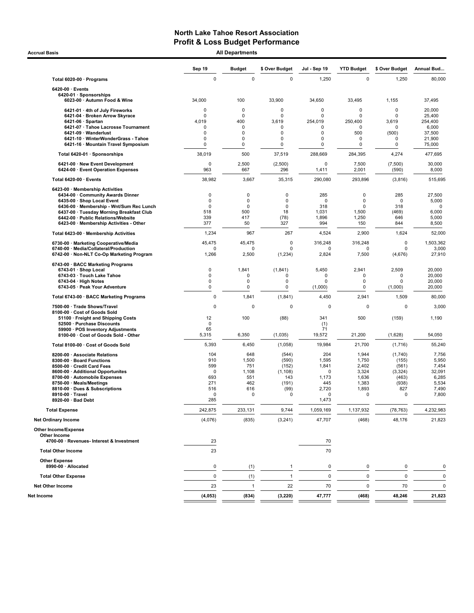Accrual Basis **Accrual Basis All Departments** 

|                                                                                                                                                                                                                                                                           | Sep 19                                                  | <b>Budget</b>                                                                  | \$ Over Budget                                                             | Jul - Sep 19                                                             | <b>YTD Budget</b>                                                       | \$ Over Budget                                                      | Annual Bud                                                            |
|---------------------------------------------------------------------------------------------------------------------------------------------------------------------------------------------------------------------------------------------------------------------------|---------------------------------------------------------|--------------------------------------------------------------------------------|----------------------------------------------------------------------------|--------------------------------------------------------------------------|-------------------------------------------------------------------------|---------------------------------------------------------------------|-----------------------------------------------------------------------|
| Total 6020-00 · Programs                                                                                                                                                                                                                                                  | $\pmb{0}$                                               | $\mathbf 0$                                                                    | $\mathbf 0$                                                                | 1,250                                                                    | $\mathbf 0$                                                             | 1,250                                                               | 80,000                                                                |
| 6420-00 · Events<br>6420-01 · Sponsorships                                                                                                                                                                                                                                |                                                         |                                                                                |                                                                            |                                                                          |                                                                         |                                                                     |                                                                       |
| 6023-00 · Autumn Food & Wine                                                                                                                                                                                                                                              | 34,000                                                  | 100                                                                            | 33,900                                                                     | 34,650                                                                   | 33,495                                                                  | 1,155                                                               | 37,495                                                                |
| 6421-01 · 4th of July Fireworks<br>6421-04 · Broken Arrow Skyrace<br>6421-06 · Spartan<br>6421-07 · Tahoe Lacrosse Tournament<br>6421-09 · Wanderlust<br>6421-10 · WinterWonderGrass - Tahoe                                                                              | 0<br>0<br>4,019<br>0<br>0<br>0                          | $\mathbf 0$<br>$\mathbf 0$<br>400<br>$\mathbf 0$<br>$\mathbf 0$<br>$\mathbf 0$ | 0<br>0<br>3,619<br>0<br>0<br>0                                             | 0<br>0<br>254,019<br>0<br>0<br>0                                         | 0<br>0<br>250,400<br>0<br>500<br>0                                      | 0<br>$\Omega$<br>3,619<br>0<br>(500)<br>0                           | 20,000<br>25,400<br>254,400<br>6,000<br>37,500<br>21,900              |
| 6421-16 · Mountain Travel Symposium                                                                                                                                                                                                                                       | 0                                                       | 0                                                                              | 0                                                                          | 0                                                                        | 0                                                                       | 0                                                                   | 75,000                                                                |
| Total 6420-01 · Sponsorships                                                                                                                                                                                                                                              | 38,019                                                  | 500                                                                            | 37,519                                                                     | 288,669                                                                  | 284,395                                                                 | 4,274                                                               | 477,695                                                               |
| 6421-00 · New Event Development<br>6424-00 · Event Operation Expenses                                                                                                                                                                                                     | $\mathbf 0$<br>963                                      | 2,500<br>667                                                                   | (2,500)<br>296                                                             | $\mathbf 0$<br>1,411                                                     | 7,500<br>2,001                                                          | (7,500)<br>(590)                                                    | 30,000<br>8,000                                                       |
| Total 6420-00 · Events                                                                                                                                                                                                                                                    | 38,982                                                  | 3,667                                                                          | 35,315                                                                     | 290,080                                                                  | 293,896                                                                 | (3,816)                                                             | 515,695                                                               |
| 6423-00 · Membership Activities<br>6434-00 Community Awards Dinner<br>6435-00 · Shop Local Event<br>6436-00 · Membership - Wnt/Sum Rec Lunch<br>6437-00 · Tuesday Morning Breakfast Club<br>6442-00 · Public Relations/Website<br>6423-00 · Membership Activities - Other | 0<br>$\mathbf 0$<br>$\mathbf 0$<br>518<br>339<br>377    | 0<br>0<br>0<br>500<br>417<br>50                                                | 0<br>$\mathbf 0$<br>$\mathbf 0$<br>18<br>(78)<br>327                       | 285<br>$\mathbf 0$<br>318<br>1,031<br>1,896<br>994                       | 0<br>$\Omega$<br>0<br>1,500<br>1,250<br>150                             | 285<br>$\Omega$<br>318<br>(469)<br>646<br>844                       | 27,500<br>5,000<br>$\mathbf 0$<br>6,000<br>5,000<br>8,500             |
| Total 6423-00 · Membership Activities                                                                                                                                                                                                                                     | 1,234                                                   | 967                                                                            | 267                                                                        | 4,524                                                                    | 2,900                                                                   | 1,624                                                               | 52,000                                                                |
| 6730-00 · Marketing Cooperative/Media<br>6740-00 · Media/Collateral/Production<br>6742-00 · Non-NLT Co-Op Marketing Program                                                                                                                                               | 45,475<br>0<br>1,266                                    | 45,475<br>$\Omega$<br>2,500                                                    | 0<br>0<br>(1, 234)                                                         | 316,248<br>0<br>2,824                                                    | 316,248<br>$\Omega$<br>7,500                                            | 0<br>0<br>(4,676)                                                   | 1,503,362<br>3,000<br>27,910                                          |
| 6743-00 · BACC Marketing Programs<br>6743-01 · Shop Local<br>6743-03 · Touch Lake Tahoe<br>$6743-04 \cdot$ High Notes<br>6743-05 · Peak Your Adventure                                                                                                                    | $\mathbf 0$<br>$\mathbf 0$<br>0<br>0                    | 1.841<br>0<br>0<br>0                                                           | (1, 841)<br>0<br>$\mathbf 0$<br>$\pmb{0}$                                  | 5,450<br>0<br>$\mathbf 0$<br>(1,000)                                     | 2,941<br>0<br>0<br>0                                                    | 2,509<br>0<br>$\mathbf 0$<br>(1,000)                                | 20,000<br>20,000<br>20,000<br>20,000                                  |
| Total 6743-00 · BACC Marketing Programs                                                                                                                                                                                                                                   | 0                                                       | 1,841                                                                          | (1, 841)                                                                   | 4,450                                                                    | 2,941                                                                   | 1,509                                                               | 80,000                                                                |
| 7500-00 · Trade Shows/Travel<br>8100-00 Cost of Goods Sold<br>51100 · Freight and Shipping Costs<br>52500 · Purchase Discounts<br>59900 · POS Inventory Adjustments<br>8100-00 · Cost of Goods Sold - Other                                                               | 0<br>12<br>$\mathbf 0$<br>65<br>5,315                   | $\Omega$<br>100<br>6,350                                                       | $\mathbf 0$<br>(88)<br>(1,035)                                             | 0<br>341<br>(1)<br>71<br>19,572                                          | $\mathbf 0$<br>500<br>21,200                                            | 0<br>(159)<br>(1,628)                                               | 3,000<br>1,190<br>54,050                                              |
| Total 8100-00 · Cost of Goods Sold                                                                                                                                                                                                                                        | 5,393                                                   | 6,450                                                                          | (1,058)                                                                    | 19,984                                                                   | 21,700                                                                  | (1,716)                                                             | 55,240                                                                |
| 8200-00 · Associate Relations<br>8300-00 · Board Functions<br>8500-00 · Credit Card Fees<br>8600-00 · Additional Opportunites<br>8700-00 · Automobile Expenses<br>8750-00 · Meals/Meetings<br>8810-00 · Dues & Subscriptions<br>8910-00 · Travel<br>8920-00 · Bad Debt    | 104<br>910<br>599<br>0<br>693<br>271<br>516<br>0<br>285 | 648<br>1,500<br>751<br>1,108<br>551<br>462<br>616<br>$\Omega$                  | (544)<br>(590)<br>(152)<br>(1, 108)<br>143<br>(191)<br>(99)<br>$\mathbf 0$ | 204<br>1,595<br>1,841<br>0<br>1,173<br>445<br>2,720<br>$\Omega$<br>1,473 | 1,944<br>1,750<br>2,402<br>3,324<br>1,636<br>1,383<br>1,893<br>$\Omega$ | (1,740)<br>(155)<br>(561)<br>(3, 324)<br>(463)<br>(938)<br>827<br>0 | 7,756<br>5,950<br>7,454<br>32,091<br>6,285<br>5,534<br>7,490<br>7,800 |
| <b>Total Expense</b>                                                                                                                                                                                                                                                      | 242,875                                                 | 233,131                                                                        | 9,744                                                                      | 1,059,169                                                                | 1,137,932                                                               | (78, 763)                                                           | 4,232,983                                                             |
| <b>Net Ordinary Income</b>                                                                                                                                                                                                                                                | (4,076)                                                 | (835)                                                                          | (3,241)                                                                    | 47,707                                                                   | (468)                                                                   | 48,176                                                              | 21,823                                                                |
| <b>Other Income/Expense</b><br>Other Income<br>4700-00 · Revenues- Interest & Investment<br><b>Total Other Income</b>                                                                                                                                                     | 23<br>23                                                |                                                                                |                                                                            | 70<br>70                                                                 |                                                                         |                                                                     |                                                                       |
| <b>Other Expense</b>                                                                                                                                                                                                                                                      |                                                         |                                                                                |                                                                            |                                                                          |                                                                         |                                                                     |                                                                       |
| 8990-00 · Allocated                                                                                                                                                                                                                                                       | 0                                                       | (1)                                                                            | $\mathbf{1}$                                                               | 0                                                                        | 0                                                                       | 0                                                                   | 0                                                                     |
| <b>Total Other Expense</b>                                                                                                                                                                                                                                                | $\pmb{0}$                                               | (1)                                                                            | $\overline{1}$                                                             | $\mathbf 0$                                                              | $\mathbf 0$                                                             | $\mathsf 0$                                                         | $\pmb{0}$                                                             |
| <b>Net Other Income</b>                                                                                                                                                                                                                                                   | 23                                                      | $\mathbf{1}$                                                                   | 22                                                                         | 70                                                                       | 0                                                                       | 70                                                                  | 0                                                                     |
| Net Income                                                                                                                                                                                                                                                                | (4, 053)                                                | (834)                                                                          | (3, 220)                                                                   | 47,777                                                                   | (468)                                                                   | 48,246                                                              | 21,823                                                                |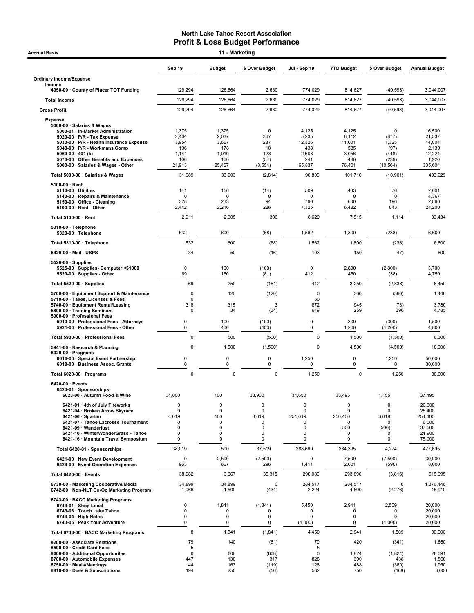| Accrual Basis                                                                 |                      | 11 - Marketing     |                      |                        |                   |                      |                      |
|-------------------------------------------------------------------------------|----------------------|--------------------|----------------------|------------------------|-------------------|----------------------|----------------------|
|                                                                               | Sep 19               | <b>Budget</b>      | \$ Over Budget       | Jul - Sep 19           | <b>YTD Budget</b> | \$ Over Budget       | <b>Annual Budget</b> |
| <b>Ordinary Income/Expense</b>                                                |                      |                    |                      |                        |                   |                      |                      |
| Income<br>4050-00 County of Placer TOT Funding                                | 129,294              | 126,664            | 2,630                | 774,029                | 814,627           | (40, 598)            | 3,044,007            |
| <b>Total Income</b>                                                           | 129,294              | 126,664            | 2,630                | 774,029                | 814,627           | (40, 598)            | 3,044,007            |
| <b>Gross Profit</b>                                                           | 129,294              | 126,664            | 2,630                | 774,029                | 814,627           | (40, 598)            | 3,044,007            |
| <b>Expense</b>                                                                |                      |                    |                      |                        |                   |                      |                      |
| 5000-00 · Salaries & Wages<br>5000-01 · In-Market Administration              | 1,375                | 1,375              | 0                    | 4,125                  | 4,125             | 0                    | 16,500               |
| 5020-00 $\cdot$ P/R - Tax Expense<br>5030-00 · P/R - Health Insurance Expense | 2,404<br>3,954       | 2,037<br>3,667     | 367<br>287           | 5,235<br>12,326        | 6,112<br>11,001   | (877)<br>1,325       | 21,537<br>44,004     |
| 5040-00 · P/R - Workmans Comp<br>5060-00 $\cdot$ 401 (k)                      | 196<br>1,141         | 178<br>1,019       | 18<br>123            | 438<br>2,608           | 535<br>3,056      | (97)<br>(448)        | 2,139<br>12,224      |
| 5070-00 Other Benefits and Expenses                                           | 106                  | 160                | (54)                 | 241                    | 480               | (239)                | 1,920                |
| 5000-00 · Salaries & Wages - Other                                            | 21,913               | 25,467             | (3, 554)             | 65,837                 | 76,401            | (10, 564)            | 305,604              |
| Total 5000-00 · Salaries & Wages                                              | 31,089               | 33,903             | (2,814)              | 90,809                 | 101,710           | (10, 901)            | 403,929              |
| $5100-00 \cdot$ Rent<br>$5110-00 \cdot$ Utilities                             | 141                  | 156                | (14)                 | 509                    | 433               | 76                   | 2,001                |
| 5140-00 · Repairs & Maintenance<br>5150-00 · Office - Cleaning                | 0<br>328             | 0<br>233           | $\mathbf 0$<br>94    | $\Omega$<br>796        | 0<br>600          | $\mathbf 0$<br>196   | 4,367<br>2,866       |
| $5100-00 \cdot$ Rent - Other                                                  | 2,442                | 2,216              | 226                  | 7,325                  | 6,482             | 843                  | 24,200               |
| Total 5100-00 · Rent                                                          | 2,911                | 2,605              | 306                  | 8,629                  | 7,515             | 1,114                | 33,434               |
| 5310-00 · Telephone<br>5320-00 · Telephone                                    | 532                  | 600                | (68)                 | 1,562                  | 1,800             | (238)                | 6,600                |
| Total 5310-00 · Telephone                                                     | 532                  | 600                | (68)                 | 1,562                  | 1,800             | (238)                | 6,600                |
| 5420-00 · Mail - USPS                                                         | 34                   | 50                 | (16)                 | 103                    | 150               | (47)                 | 600                  |
| $5520-00 \cdot$ Supplies                                                      |                      |                    |                      |                        |                   |                      |                      |
| 5525 00 · Supplies Computer <\$1000<br>5520-00 · Supplies - Other             | 0<br>69              | 100<br>150         | (100)<br>(81)        | 0<br>412               | 2,800<br>450      | (2,800)<br>(38)      | 3,700<br>4,750       |
| Total 5520-00 · Supplies                                                      | 69                   | 250                | (181)                | 412                    | 3,250             | (2,838)              | 8,450                |
| 5700-00 · Equipment Support & Maintenance                                     | 0                    | 120                | (120)                | $\mathbf 0$            | 360               | (360)                | 1,440                |
| 5710-00 · Taxes, Licenses & Fees<br>5740-00 · Equipment Rental/Leasing        | $\mathbf 0$<br>318   | 315                | 3                    | 60<br>872              | 945               | (73)                 | 3,780                |
| 5800-00 · Training Seminars                                                   | 0                    | 34                 | (34)                 | 649                    | 259               | 390                  | 4,785                |
| 5900-00 · Professional Fees<br>5910-00 · Professional Fees - Attorneys        | 0                    | 100                | (100)                | 0                      | 300               | (300)                | 1,500                |
| 5921-00 · Professional Fees - Other                                           | 0                    | 400                | (400)                | 0                      | 1,200             | (1,200)              | 4,800                |
| Total 5900-00 · Professional Fees                                             | 0<br>$\mathbf 0$     | 500                | (500)                | $\mathbf 0$<br>0       | 1,500             | (1,500)              | 6,300                |
| 5941-00 · Research & Planning<br>6020-00 $\cdot$ Programs                     |                      | 1,500              | (1,500)              |                        | 4,500             | (4,500)              | 18,000               |
| 6016-00 · Special Event Partnership<br>6018-00 · Business Assoc. Grants       | 0<br>$\mathbf 0$     | 0<br>0             | 0<br>$\pmb{0}$       | 1,250<br>0             | 0<br>0            | 1,250<br>0           | 50,000<br>30,000     |
| Total 6020-00 · Programs                                                      | 0                    | $\pmb{0}$          | 0                    | 1,250                  | 0                 | 1,250                | 80,000               |
| $6420-00 \cdot$ Events                                                        |                      |                    |                      |                        |                   |                      |                      |
| 6420-01 · Sponsorships<br>6023-00 · Autumn Food & Wine                        | 34,000               | 100                | 33,900               | 34,650                 | 33,495            | 1,155                | 37,495               |
| 6421-01 · 4th of July Fireworks                                               | $\Omega$             | $\mathbf 0$        | $\mathbf 0$          | $\mathbf 0$            | 0                 | 0                    | 20,000               |
| 6421-04 · Broken Arrow Skyrace<br>$6421-06 \cdot$ Spartan                     | 0<br>4,019           | $\mathbf 0$<br>400 | $\mathbf 0$<br>3,619 | $\mathbf 0$<br>254,019 | 0<br>250,400      | $\mathbf 0$<br>3,619 | 25,400<br>254,400    |
| 6421-07 · Tahoe Lacrosse Tournament                                           | $\Omega$             | 0                  | $\mathbf 0$          | 0                      | 0                 | 0                    | 6,000                |
| 6421-09 · Wanderlust<br>6421-10 · WinterWonderGrass - Tahoe                   | $\Omega$<br>0        | 0<br>0             | 0<br>$\mathbf 0$     | 0<br>0                 | 500<br>0          | (500)<br>0           | 37,500<br>21,900     |
| 6421-16 · Mountain Travel Symposium                                           | 0                    | 0                  | 0                    | 0                      | 0                 | 0                    | 75,000               |
| Total 6420-01 · Sponsorships                                                  | 38,019               | 500                | 37,519               | 288,669                | 284,395           | 4,274                | 477,695              |
| 6421-00 · New Event Development<br>6424-00 · Event Operation Expenses         | 0<br>963             | 2,500<br>667       | (2,500)<br>296       | 0<br>1,411             | 7,500<br>2,001    | (7,500)<br>(590)     | 30,000<br>8,000      |
| Total 6420-00 · Events                                                        | 38,982               | 3,667              | 35,315               | 290,080                | 293,896           | (3,816)              | 515,695              |
| 6730-00 · Marketing Cooperative/Media                                         | 34,899               | 34,899             | 0                    | 284,517                | 284,517           | $\Omega$             | 1,376,446            |
| 6742-00 · Non-NLT Co-Op Marketing Program                                     | 1,066                | 1,500              | (434)                | 2,224                  | 4,500             | (2, 276)             | 15,910               |
| 6743-00 · BACC Marketing Programs<br>6743-01 · Shop Local                     | 0                    | 1,841              | (1,841)              | 5,450                  | 2,941             | 2,509                | 20,000               |
| 6743-03 · Touch Lake Tahoe<br>$6743-04 \cdot$ High Notes                      | 0<br>0               | 0<br>0             | $\Omega$<br>0        | 0<br>0                 | 0<br>0            | $\mathbf 0$<br>0     | 20,000<br>20,000     |
| 6743-05 · Peak Your Adventure                                                 | 0                    | 0                  | 0                    | (1,000)                | 0                 | (1,000)              | 20,000               |
| Total 6743-00 · BACC Marketing Programs                                       | $\pmb{0}$            | 1,841              | (1, 841)             | 4,450                  | 2,941             | 1,509                | 80,000               |
| 8200-00 · Associate Relations<br>8500-00 Credit Card Fees                     | 79<br>$\overline{5}$ | 140                | (61)                 | 79<br>5                | 420               | (341)                | 1,660                |
| 8600-00 · Additional Opportunites                                             | $\pmb{0}$            | 608                | (608)                | $\mathbf 0$            | 1,824             | (1,824)              | 26,091               |
| 8700-00 · Automobile Expenses<br>8750-00 · Meals/Meetings                     | 447<br>44            | 130<br>163         | 317<br>(119)         | 828<br>128             | 390<br>488        | 438<br>(360)         | 1,560<br>1,950       |
| 8810-00 · Dues & Subscriptions                                                | 194                  | 250                | (56)                 | 582                    | 750               | (168)                | 3,000                |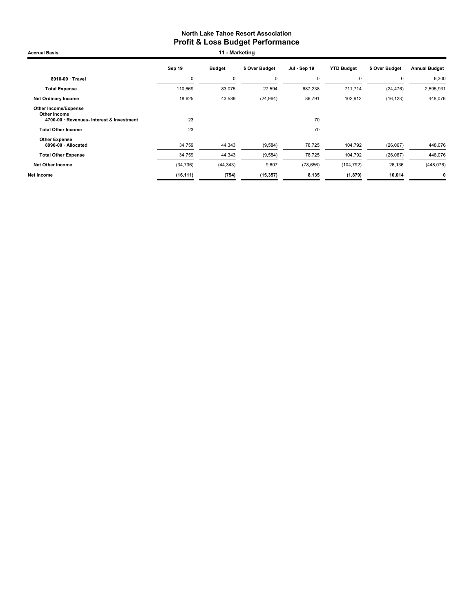Accrual Basis **11 - Marketing** 

|                                                                                          | Sep 19    | <b>Budget</b> | \$ Over Budget | Jul - Sep 19 | <b>YTD Budget</b> | \$ Over Budget | <b>Annual Budget</b> |
|------------------------------------------------------------------------------------------|-----------|---------------|----------------|--------------|-------------------|----------------|----------------------|
| 8910-00 · Travel                                                                         | C         | 0             | $\mathbf 0$    | $\Omega$     | 0                 | $\Omega$       | 6,300                |
| <b>Total Expense</b>                                                                     | 110,669   | 83,075        | 27,594         | 687,238      | 711,714           | (24, 476)      | 2,595,931            |
| <b>Net Ordinary Income</b>                                                               | 18,625    | 43,589        | (24, 964)      | 86,791       | 102,913           | (16, 123)      | 448,076              |
| <b>Other Income/Expense</b><br>Other Income<br>4700-00 · Revenues- Interest & Investment | 23        |               |                | 70           |                   |                |                      |
| <b>Total Other Income</b>                                                                | 23        |               |                | 70           |                   |                |                      |
| <b>Other Expense</b><br>8990-00 · Allocated                                              | 34,759    | 44,343        | (9,584)        | 78,725       | 104,792           | (26,067)       | 448,076              |
| <b>Total Other Expense</b>                                                               | 34,759    | 44,343        | (9,584)        | 78,725       | 104,792           | (26,067)       | 448,076              |
| <b>Net Other Income</b>                                                                  | (34, 736) | (44, 343)     | 9,607          | (78, 656)    | (104, 792)        | 26,136         | (448, 076)           |
| Net Income                                                                               | (16, 111) | (754)         | (15, 357)      | 8,135        | (1, 879)          | 10,014         | $\mathbf 0$          |
|                                                                                          |           |               |                |              |                   |                |                      |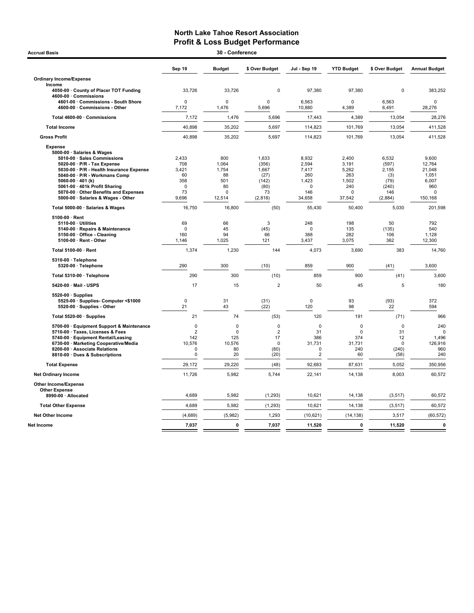# North Lake Tahoe Resort Association **Profit & Loss Budget Performance**<br>30 - Conference

| 30 - Conference<br><b>Accrual Basis</b>                                                                                                                                                                                                                                                                                                                                                                                                                                                                                                                                                                                  |                                                                                                                                  |                                                                                                                            |                                                                                                                             |                                                                                                                                          |                                                                                                                                     |                                                                                                                                |                                                                                                                                                      |  |  |
|--------------------------------------------------------------------------------------------------------------------------------------------------------------------------------------------------------------------------------------------------------------------------------------------------------------------------------------------------------------------------------------------------------------------------------------------------------------------------------------------------------------------------------------------------------------------------------------------------------------------------|----------------------------------------------------------------------------------------------------------------------------------|----------------------------------------------------------------------------------------------------------------------------|-----------------------------------------------------------------------------------------------------------------------------|------------------------------------------------------------------------------------------------------------------------------------------|-------------------------------------------------------------------------------------------------------------------------------------|--------------------------------------------------------------------------------------------------------------------------------|------------------------------------------------------------------------------------------------------------------------------------------------------|--|--|
|                                                                                                                                                                                                                                                                                                                                                                                                                                                                                                                                                                                                                          | Sep 19                                                                                                                           | <b>Budget</b>                                                                                                              | \$ Over Budget                                                                                                              | Jul - Sep 19                                                                                                                             | <b>YTD Budget</b>                                                                                                                   | \$ Over Budget                                                                                                                 | <b>Annual Budget</b>                                                                                                                                 |  |  |
| <b>Ordinary Income/Expense</b>                                                                                                                                                                                                                                                                                                                                                                                                                                                                                                                                                                                           |                                                                                                                                  |                                                                                                                            |                                                                                                                             |                                                                                                                                          |                                                                                                                                     |                                                                                                                                |                                                                                                                                                      |  |  |
| Income<br>4050-00 County of Placer TOT Funding<br>4600-00 · Commissions                                                                                                                                                                                                                                                                                                                                                                                                                                                                                                                                                  | 33,726                                                                                                                           | 33,726                                                                                                                     | 0                                                                                                                           | 97,380                                                                                                                                   | 97,380                                                                                                                              | 0                                                                                                                              | 383,252                                                                                                                                              |  |  |
| 4601-00 Commissions - South Shore<br>4600-00 · Commissions - Other                                                                                                                                                                                                                                                                                                                                                                                                                                                                                                                                                       | 0<br>7,172                                                                                                                       | $\Omega$<br>1,476                                                                                                          | $\mathbf 0$<br>5,696                                                                                                        | 6,563<br>10,880                                                                                                                          | $\Omega$<br>4,389                                                                                                                   | 6,563<br>6,491                                                                                                                 | $\pmb{0}$<br>28,276                                                                                                                                  |  |  |
| Total 4600-00 · Commissions                                                                                                                                                                                                                                                                                                                                                                                                                                                                                                                                                                                              | 7,172                                                                                                                            | 1,476                                                                                                                      | 5,696                                                                                                                       | 17,443                                                                                                                                   | 4,389                                                                                                                               | 13,054                                                                                                                         | 28,276                                                                                                                                               |  |  |
| <b>Total Income</b>                                                                                                                                                                                                                                                                                                                                                                                                                                                                                                                                                                                                      | 40,898                                                                                                                           | 35,202                                                                                                                     | 5,697                                                                                                                       | 114,823                                                                                                                                  | 101,769                                                                                                                             | 13,054                                                                                                                         | 411,528                                                                                                                                              |  |  |
| <b>Gross Profit</b>                                                                                                                                                                                                                                                                                                                                                                                                                                                                                                                                                                                                      | 40,898                                                                                                                           | 35,202                                                                                                                     | 5,697                                                                                                                       | 114,823                                                                                                                                  | 101,769                                                                                                                             | 13,054                                                                                                                         | 411,528                                                                                                                                              |  |  |
| <b>Expense</b><br>5000-00 · Salaries & Wages<br>5010-00 · Sales Commissions<br>5020-00 · P/R - Tax Expense<br>5030-00 · P/R - Health Insurance Expense<br>5040-00 · P/R - Workmans Comp<br>5060-00 $\cdot$ 401 (k)<br>5061-00 · 401k Profit Sharing<br>5070-00 · Other Benefits and Expenses<br>5000-00 · Salaries & Wages - Other<br>Total 5000-00 · Salaries & Wages<br>5100-00 · Rent<br>$5110-00 \cdot$ Utilities<br>5140-00 · Repairs & Maintenance<br>5150-00 Office - Cleaning<br>$5100-00 \cdot$ Rent - Other<br>Total 5100-00 · Rent<br>5310-00 · Telephone<br>5320-00 · Telephone<br>Total 5310-00 · Telephone | 2.433<br>708<br>3.421<br>60<br>358<br>$\Omega$<br>73<br>9,696<br>16,750<br>69<br>$\Omega$<br>160<br>1,146<br>1,374<br>290<br>290 | 800<br>1,064<br>1.754<br>88<br>501<br>80<br>$\Omega$<br>12,514<br>16,800<br>66<br>45<br>94<br>1,025<br>1,230<br>300<br>300 | 1.633<br>(356)<br>1.667<br>(27)<br>(142)<br>(80)<br>73<br>(2, 818)<br>(50)<br>3<br>(45)<br>66<br>121<br>144<br>(10)<br>(10) | 8.932<br>2,594<br>7.417<br>260<br>1,423<br>$\Omega$<br>146<br>34,658<br>55,430<br>248<br>$\Omega$<br>388<br>3,437<br>4,073<br>859<br>859 | 2.400<br>3,191<br>5,262<br>263<br>1,502<br>240<br>$\Omega$<br>37,542<br>50,400<br>198<br>135<br>282<br>3,075<br>3,690<br>900<br>900 | 6.532<br>(597)<br>2.155<br>(3)<br>(79)<br>(240)<br>146<br>(2,884)<br>5,030<br>50<br>(135)<br>106<br>362<br>383<br>(41)<br>(41) | 9.600<br>12,764<br>21.048<br>1,051<br>6,007<br>960<br>$\mathbf 0$<br>150,168<br>201,598<br>792<br>540<br>1,128<br>12,300<br>14,760<br>3,600<br>3,600 |  |  |
| 5420-00 Mail - USPS                                                                                                                                                                                                                                                                                                                                                                                                                                                                                                                                                                                                      | 17                                                                                                                               | 15                                                                                                                         | $\overline{2}$                                                                                                              | 50                                                                                                                                       | 45                                                                                                                                  | 5                                                                                                                              | 180                                                                                                                                                  |  |  |
| 5520-00 · Supplies<br>5525-00 · Supplies- Computer <\$1000<br>5520-00 · Supplies - Other                                                                                                                                                                                                                                                                                                                                                                                                                                                                                                                                 | $\pmb{0}$<br>21                                                                                                                  | 31<br>43                                                                                                                   | (31)<br>(22)                                                                                                                | $\pmb{0}$<br>120                                                                                                                         | 93<br>98                                                                                                                            | (93)<br>22                                                                                                                     | 372<br>594                                                                                                                                           |  |  |
| Total 5520-00 · Supplies                                                                                                                                                                                                                                                                                                                                                                                                                                                                                                                                                                                                 | 21                                                                                                                               | 74                                                                                                                         | (53)                                                                                                                        | 120                                                                                                                                      | 191                                                                                                                                 | (71)                                                                                                                           | 966                                                                                                                                                  |  |  |
| 5700-00 · Equipment Support & Maintenance<br>5710-00 · Taxes, Licenses & Fees<br>5740-00 · Equipment Rental/Leasing<br>6730-00 · Marketing Cooperative/Media<br>8200-00 · Associate Relations<br>8810-00 · Dues & Subscriptions                                                                                                                                                                                                                                                                                                                                                                                          | $\mathbf 0$<br>$\overline{2}$<br>142<br>10,576<br>0<br>0                                                                         | $\mathbf 0$<br>$\mathbf 0$<br>125<br>10,576<br>80<br>20                                                                    | $\mathbf 0$<br>$\overline{2}$<br>17<br>$\mathsf 0$<br>(80)<br>(20)                                                          | $\mathbf 0$<br>31<br>386<br>31,731<br>0<br>$\overline{2}$                                                                                | $\mathbf 0$<br>$\mathbf 0$<br>374<br>31,731<br>240<br>60                                                                            | $\mathbf 0$<br>31<br>12<br>$\mathbf 0$<br>(240)<br>(58)                                                                        | 240<br>$\Omega$<br>1,496<br>126,916<br>960<br>240                                                                                                    |  |  |
| <b>Total Expense</b>                                                                                                                                                                                                                                                                                                                                                                                                                                                                                                                                                                                                     | 29,172                                                                                                                           | 29,220                                                                                                                     | (48)                                                                                                                        | 92,683                                                                                                                                   | 87,631                                                                                                                              | 5,052                                                                                                                          | 350,956                                                                                                                                              |  |  |
| <b>Net Ordinary Income</b>                                                                                                                                                                                                                                                                                                                                                                                                                                                                                                                                                                                               | 11,726                                                                                                                           | 5,982                                                                                                                      | 5,744                                                                                                                       | 22,141                                                                                                                                   | 14,138                                                                                                                              | 8,003                                                                                                                          | 60,572                                                                                                                                               |  |  |
| Other Income/Expense<br><b>Other Expense</b>                                                                                                                                                                                                                                                                                                                                                                                                                                                                                                                                                                             |                                                                                                                                  |                                                                                                                            |                                                                                                                             |                                                                                                                                          |                                                                                                                                     |                                                                                                                                |                                                                                                                                                      |  |  |
| 8990-00 · Allocated                                                                                                                                                                                                                                                                                                                                                                                                                                                                                                                                                                                                      | 4,689                                                                                                                            | 5,982                                                                                                                      | (1, 293)                                                                                                                    | 10,621                                                                                                                                   | 14,138                                                                                                                              | (3, 517)                                                                                                                       | 60,572                                                                                                                                               |  |  |
| <b>Total Other Expense</b>                                                                                                                                                                                                                                                                                                                                                                                                                                                                                                                                                                                               | 4,689                                                                                                                            | 5,982                                                                                                                      | (1, 293)                                                                                                                    | 10,621                                                                                                                                   | 14,138                                                                                                                              | (3, 517)                                                                                                                       | 60,572                                                                                                                                               |  |  |
| <b>Net Other Income</b>                                                                                                                                                                                                                                                                                                                                                                                                                                                                                                                                                                                                  | (4,689)                                                                                                                          | (5,982)                                                                                                                    | 1,293                                                                                                                       | (10, 621)                                                                                                                                | (14, 138)                                                                                                                           | 3,517                                                                                                                          | (60, 572)                                                                                                                                            |  |  |
| Net Income                                                                                                                                                                                                                                                                                                                                                                                                                                                                                                                                                                                                               | 7,037                                                                                                                            | $\mathbf 0$                                                                                                                | 7,037                                                                                                                       | 11,520                                                                                                                                   | 0                                                                                                                                   | 11,520                                                                                                                         | $\pmb{0}$                                                                                                                                            |  |  |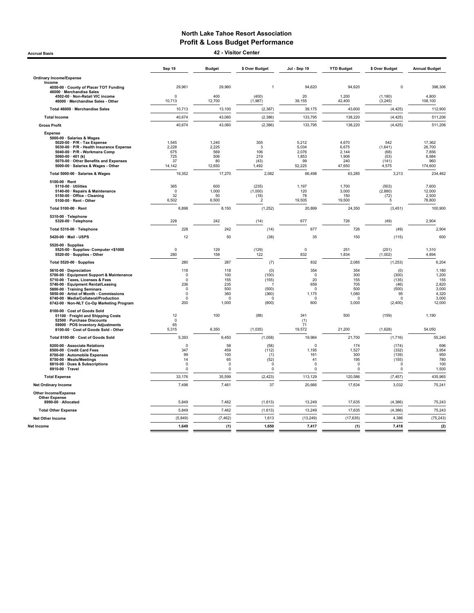Accrual Basis 42 - Visitor Center

|                                                                                                                                                                                                                                                                                                               | Sep 19                                                                              | <b>Budget</b>                                               | \$ Over Budget                                               | Jul - Sep 19                                                        | <b>YTD Budget</b>                                             | \$ Over Budget                                                         | <b>Annual Budget</b>                                                |
|---------------------------------------------------------------------------------------------------------------------------------------------------------------------------------------------------------------------------------------------------------------------------------------------------------------|-------------------------------------------------------------------------------------|-------------------------------------------------------------|--------------------------------------------------------------|---------------------------------------------------------------------|---------------------------------------------------------------|------------------------------------------------------------------------|---------------------------------------------------------------------|
| <b>Ordinary Income/Expense</b>                                                                                                                                                                                                                                                                                |                                                                                     |                                                             |                                                              |                                                                     |                                                               |                                                                        |                                                                     |
| Income<br>4050-00 · County of Placer TOT Funding                                                                                                                                                                                                                                                              | 29,961                                                                              | 29,960                                                      | $\mathbf{1}$                                                 | 94.620                                                              | 94,620                                                        | $\Omega$                                                               | 398,306                                                             |
| 46000 · Merchandise Sales<br>4502-00 · Non-Retail VIC income<br>46000 · Merchandise Sales - Other                                                                                                                                                                                                             | $\Omega$<br>10,713                                                                  | 400<br>12,700                                               | (400)<br>(1,987)                                             | 20<br>39,155                                                        | 1,200<br>42,400                                               | (1, 180)<br>(3, 245)                                                   | 4,800<br>108,100                                                    |
| Total 46000 · Merchandise Sales                                                                                                                                                                                                                                                                               | 10,713                                                                              | 13,100                                                      | (2, 387)                                                     | 39,175                                                              | 43,600                                                        | (4, 425)                                                               | 112,900                                                             |
| <b>Total Income</b>                                                                                                                                                                                                                                                                                           | 40,674                                                                              | 43,060                                                      | (2, 386)                                                     | 133,795                                                             | 138,220                                                       | (4, 425)                                                               | 511,206                                                             |
| <b>Gross Profit</b>                                                                                                                                                                                                                                                                                           | 40,674                                                                              | 43,060                                                      | (2, 386)                                                     | 133,795                                                             | 138,220                                                       | (4, 425)                                                               | 511,206                                                             |
| <b>Expense</b><br>5000-00 · Salaries & Wages<br>$5020-00 \cdot P/R$ - Tax Expense<br>5030-00 · P/R - Health Insurance Expense<br>5040-00 · P/R - Workmans Comp<br>5060-00 $\cdot$ 401 (k)<br>5070-00 Other Benefits and Expenses<br>5000-00 · Salaries & Wages - Other                                        | 1,545<br>2,228<br>675<br>725<br>37<br>14,142                                        | 1,240<br>2,225<br>569<br>506<br>80<br>12,650                | 305<br>3<br>106<br>219<br>(43)<br>1,492                      | 5,212<br>5,034<br>2,076<br>1,853<br>99<br>52,225                    | 4,670<br>6,675<br>2,144<br>1,906<br>240<br>47,650             | 542<br>(1,641)<br>(68)<br>(53)<br>(141)<br>4,575                       | 17.362<br>26,700<br>7,856<br>6,984<br>960<br>174,600                |
| Total 5000-00 · Salaries & Wages                                                                                                                                                                                                                                                                              | 19,352                                                                              | 17,270                                                      | 2,082                                                        | 66,498                                                              | 63,285                                                        | 3,213                                                                  | 234,462                                                             |
| 5100-00 · Rent<br>5110-00 · Utilities<br>5140-00 · Repairs & Maintenance<br>5150-00 · Office - Cleaning<br>5100-00 · Rent - Other                                                                                                                                                                             | 365<br>$\Omega$<br>32<br>6,502                                                      | 600<br>1,000<br>50<br>6,500                                 | (235)<br>(1,000)<br>(18)<br>$\overline{2}$                   | 1,197<br>120<br>78<br>19,505                                        | 1.700<br>3,000<br>150<br>19,500                               | (503)<br>(2,880)<br>(72)<br>5                                          | 7.600<br>12,000<br>2,500<br>78,800                                  |
| Total 5100-00 · Rent                                                                                                                                                                                                                                                                                          | 6,898                                                                               | 8,150                                                       | (1, 252)                                                     | 20,899                                                              | 24,350                                                        | (3, 451)                                                               | 100,900                                                             |
| 5310-00 · Telephone<br>5320-00 · Telephone                                                                                                                                                                                                                                                                    | 228                                                                                 | 242                                                         | (14)                                                         | 677                                                                 | 726                                                           | (49)                                                                   | 2,904                                                               |
| Total 5310-00 · Telephone                                                                                                                                                                                                                                                                                     | 228                                                                                 | 242                                                         | (14)                                                         | 677                                                                 | 726                                                           | (49)                                                                   | 2,904                                                               |
| 5420-00 · Mail - USPS                                                                                                                                                                                                                                                                                         | 12                                                                                  | 50                                                          | (38)                                                         | 35                                                                  | 150                                                           | (115)                                                                  | 600                                                                 |
| 5520-00 · Supplies<br>5525-00 · Supplies- Computer <\$1000<br>5520-00 · Supplies - Other                                                                                                                                                                                                                      | $\mathbf 0$<br>280                                                                  | 129<br>158                                                  | (129)<br>122                                                 | 0<br>832                                                            | 251<br>1,834                                                  | (251)<br>(1,002)                                                       | 1,310<br>4.894                                                      |
| Total 5520-00 · Supplies                                                                                                                                                                                                                                                                                      | 280                                                                                 | 287                                                         | (7)                                                          | 832                                                                 | 2,085                                                         | (1, 253)                                                               | 6,204                                                               |
| 5610-00 · Depreciation<br>5700-00 · Equipment Support & Maintenance<br>5710-00 · Taxes, Licenses & Fees<br>5740-00 · Equipment Rental/Leasing<br>5800-00 · Training Seminars<br>5850-00 · Artist of Month - Commissions<br>6740-00 · Media/Collateral/Production<br>6742-00 · Non-NLT Co-Op Marketing Program | 118<br>$\mathbf 0$<br>$\Omega$<br>236<br>$\Omega$<br>$\mathbf 0$<br>$\Omega$<br>200 | 118<br>100<br>155<br>235<br>500<br>360<br>$\Omega$<br>1,000 | (0)<br>(100)<br>(155)<br>(500)<br>(360)<br>$\Omega$<br>(800) | 354<br>$\mathbf 0$<br>20<br>659<br>$\mathsf 0$<br>1,175<br>0<br>600 | 354<br>300<br>155<br>705<br>500<br>1,080<br>$\Omega$<br>3,000 | (0)<br>(300)<br>(135)<br>(46)<br>(500)<br>95<br>$\Omega$<br>(2,400)    | 1,180<br>1,200<br>155<br>2,820<br>3,000<br>4,320<br>3,000<br>12,000 |
| 8100-00 · Cost of Goods Sold<br>51100 · Freight and Shipping Costs<br>52500 · Purchase Discounts<br>59900 · POS Inventory Adjustments                                                                                                                                                                         | 12<br>$\mathbf 0$<br>65                                                             | 100                                                         | (88)                                                         | 341<br>(1)<br>71                                                    | 500                                                           | (159)                                                                  | 1,190                                                               |
| 8100-00 · Cost of Goods Sold - Other                                                                                                                                                                                                                                                                          | 5,315                                                                               | 6,350                                                       | (1,035)                                                      | 19,572                                                              | 21,200                                                        | (1,628)                                                                | 54,050                                                              |
| Total 8100-00 · Cost of Goods Sold<br>8200-00 · Associate Relations<br>8500-00 · Credit Card Fees<br>8700-00 · Automobile Expenses<br>8750-00 · Meals/Meetings<br>8810-00 Dues & Subscriptions<br>8910-00 · Travel                                                                                            | 5,393<br>$\Omega$<br>347<br>99<br>14<br>$\Omega$<br>$\Omega$                        | 6,450<br>58<br>459<br>100<br>65<br>$\Omega$<br>$\Omega$     | (1,058)<br>(58)<br>(112)<br>(1)<br>(52)<br>0<br>$\mathbf 0$  | 19,984<br>0<br>1,195<br>161<br>41<br>$\Omega$<br>$\Omega$           | 21,700<br>174<br>1,527<br>300<br>195<br>$\Omega$<br>0         | (1,716)<br>(174)<br>(332)<br>(139)<br>(155)<br>$\Omega$<br>$\mathbf 0$ | 55,240<br>696<br>3,954<br>950<br>780<br>100<br>1,500                |
| <b>Total Expense</b>                                                                                                                                                                                                                                                                                          | 33,176                                                                              | 35,599                                                      | (2, 423)                                                     | 113,129                                                             | 120,586                                                       | (7, 457)                                                               | 435,965                                                             |
| <b>Net Ordinary Income</b>                                                                                                                                                                                                                                                                                    | 7,498                                                                               | 7,461                                                       | 37                                                           | 20,666                                                              | 17,634                                                        | 3,032                                                                  | 75,241                                                              |
| <b>Other Income/Expense</b><br><b>Other Expense</b><br>8990-00 · Allocated                                                                                                                                                                                                                                    | 5,849                                                                               | 7,462                                                       | (1,613)                                                      | 13,249                                                              | 17,635                                                        | (4, 386)                                                               | 75,243                                                              |
| <b>Total Other Expense</b>                                                                                                                                                                                                                                                                                    | 5,849                                                                               | 7,462                                                       | (1,613)                                                      | 13,249                                                              | 17,635                                                        | (4, 386)                                                               | 75,243                                                              |
| <b>Net Other Income</b>                                                                                                                                                                                                                                                                                       | (5, 849)                                                                            | (7, 462)                                                    | 1,613                                                        | (13, 249)                                                           | (17, 635)                                                     | 4.386                                                                  | (75, 243)                                                           |
| Net Income                                                                                                                                                                                                                                                                                                    | 1,649                                                                               | (1)                                                         | 1,650                                                        | 7,417                                                               | (1)                                                           | 7,418                                                                  | (2)                                                                 |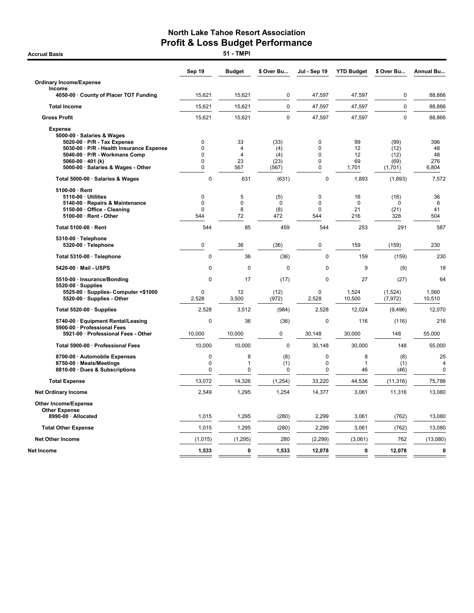**Accrual Basis** 

|                                                                                                                                                                                                                           | Sep 19                                                        | <b>Budget</b>                          | \$ Over Bu                          | Jul - Sep 19                        | <b>YTD Budget</b>              | \$ Over Bu                              | <b>Annual Bu</b>                    |
|---------------------------------------------------------------------------------------------------------------------------------------------------------------------------------------------------------------------------|---------------------------------------------------------------|----------------------------------------|-------------------------------------|-------------------------------------|--------------------------------|-----------------------------------------|-------------------------------------|
| <b>Ordinary Income/Expense</b>                                                                                                                                                                                            |                                                               |                                        |                                     |                                     |                                |                                         |                                     |
| Income<br>4050-00 · County of Placer TOT Funding                                                                                                                                                                          | 15,621                                                        | 15,621                                 | $\mathbf 0$                         | 47,597                              | 47,597                         | 0                                       | 88,866                              |
| <b>Total Income</b>                                                                                                                                                                                                       | 15,621                                                        | 15,621                                 | $\mathbf 0$                         | 47,597                              | 47,597                         | $\pmb{0}$                               | 88,866                              |
| <b>Gross Profit</b>                                                                                                                                                                                                       | 15,621                                                        | 15,621                                 | $\mathbf 0$                         | 47,597                              | 47,597                         | $\mathbf 0$                             | 88,866                              |
| <b>Expense</b><br>5000-00 · Salaries & Wages<br>5020-00 · P/R - Tax Expense<br>5030-00 · P/R - Health Insurance Expense<br>5040-00 · P/R - Workmans Comp<br>5060-00 $\cdot$ 401 (k)<br>5000-00 · Salaries & Wages - Other | 0<br>$\mathbf 0$<br>$\mathbf 0$<br>$\mathbf 0$<br>$\mathbf 0$ | 33<br>4<br>$\overline{4}$<br>23<br>567 | (33)<br>(4)<br>(4)<br>(23)<br>(567) | 0<br>0<br>$\Omega$<br>0<br>0        | 99<br>12<br>12<br>69<br>1,701  | (99)<br>(12)<br>(12)<br>(69)<br>(1,701) | 396<br>48<br>48<br>276<br>6,804     |
| Total 5000-00 · Salaries & Wages                                                                                                                                                                                          | 0                                                             | 631                                    | (631)                               | $\mathbf 0$                         | 1,893                          | (1,893)                                 | 7,572                               |
| $5100-00 \cdot$ Rent<br>5110-00 · Utilities<br>5140-00 · Repairs & Maintenance<br>5150-00 · Office - Cleaning<br>5100-00 · Rent - Other                                                                                   | $\mathbf 0$<br>$\mathbf 0$<br>$\Omega$<br>544                 | 5<br>$\mathbf 0$<br>8<br>72            | (5)<br>$\mathbf 0$<br>(8)<br>472    | $\mathbf 0$<br>0<br>$\Omega$<br>544 | 16<br>$\mathbf 0$<br>21<br>216 | (16)<br>0<br>(21)<br>328                | 36<br>6<br>41<br>504                |
| Total 5100-00 · Rent                                                                                                                                                                                                      | 544                                                           | 85                                     | 459                                 | 544                                 | 253                            | 291                                     | 587                                 |
| 5310-00 · Telephone<br>5320-00 · Telephone                                                                                                                                                                                | $\mathbf 0$                                                   | 36                                     | (36)                                | 0                                   | 159                            | (159)                                   | 230                                 |
| Total 5310-00 · Telephone                                                                                                                                                                                                 | 0                                                             | 36                                     | (36)                                | 0                                   | 159                            | (159)                                   | 230                                 |
| 5420-00 · Mail - USPS                                                                                                                                                                                                     | $\mathbf 0$                                                   | $\mathbf 0$                            | $\Omega$                            | $\mathbf 0$                         | 9                              | (9)                                     | 18                                  |
| 5510-00 · Insurance/Bonding<br>$5520-00 \cdot$ Supplies                                                                                                                                                                   | 0                                                             | 17                                     | (17)                                | 0                                   | 27                             | (27)                                    | 64                                  |
| 5525-00 · Supplies- Computer <\$1000<br>5520-00 · Supplies - Other                                                                                                                                                        | $\mathbf 0$<br>2,528                                          | 12<br>3,500                            | (12)<br>(972)                       | 0<br>2,528                          | 1,524<br>10,500                | (1,524)<br>(7, 972)                     | 1,560<br>10,510                     |
| Total 5520-00 · Supplies                                                                                                                                                                                                  | 2,528                                                         | 3,512                                  | (984)                               | 2,528                               | 12,024                         | (9, 496)                                | 12,070                              |
| 5740-00 · Equipment Rental/Leasing                                                                                                                                                                                        | 0                                                             | 36                                     | (36)                                | 0                                   | 116                            | (116)                                   | 216                                 |
| 5900-00 · Professional Fees<br>5921-00 · Professional Fees - Other                                                                                                                                                        | 10,000                                                        | 10,000                                 | 0                                   | 30,148                              | 30,000                         | 148                                     | 55,000                              |
| Total 5900-00 · Professional Fees                                                                                                                                                                                         | 10,000                                                        | 10,000                                 | $\mathbf 0$                         | 30,148                              | 30,000                         | 148                                     | 55,000                              |
| 8700-00 · Automobile Expenses<br>8750-00 · Meals/Meetings<br>8810-00 · Dues & Subscriptions                                                                                                                               | 0<br>0<br>0                                                   | 8<br>1<br>0                            | (8)<br>(1)<br>0                     | 0<br>0<br>0                         | 8<br>1<br>46                   | (8)<br>(1)<br>(46)                      | 25<br>$\overline{4}$<br>$\mathbf 0$ |
| <b>Total Expense</b>                                                                                                                                                                                                      | 13,072                                                        | 14,326                                 | (1, 254)                            | 33,220                              | 44,536                         | (11, 316)                               | 75,786                              |
| <b>Net Ordinary Income</b>                                                                                                                                                                                                | 2,549                                                         | 1,295                                  | 1,254                               | 14,377                              | 3,061                          | 11,316                                  | 13,080                              |
| <b>Other Income/Expense</b><br><b>Other Expense</b>                                                                                                                                                                       |                                                               |                                        |                                     |                                     |                                |                                         |                                     |
| 8990-00 · Allocated                                                                                                                                                                                                       | 1,015                                                         | 1,295                                  | (280)                               | 2,299                               | 3,061                          | (762)                                   | 13,080                              |
| <b>Total Other Expense</b>                                                                                                                                                                                                | 1,015                                                         | 1,295                                  | (280)                               | 2,299                               | 3,061                          | (762)                                   | 13,080                              |
| <b>Net Other Income</b>                                                                                                                                                                                                   | (1,015)                                                       | (1, 295)                               | 280                                 | (2, 299)                            | (3,061)                        | 762                                     | (13,080)                            |
| Net Income                                                                                                                                                                                                                | 1,533                                                         | $\mathbf{0}$                           | 1,533                               | 12,078                              | 0                              | 12,078                                  | $\pmb{0}$                           |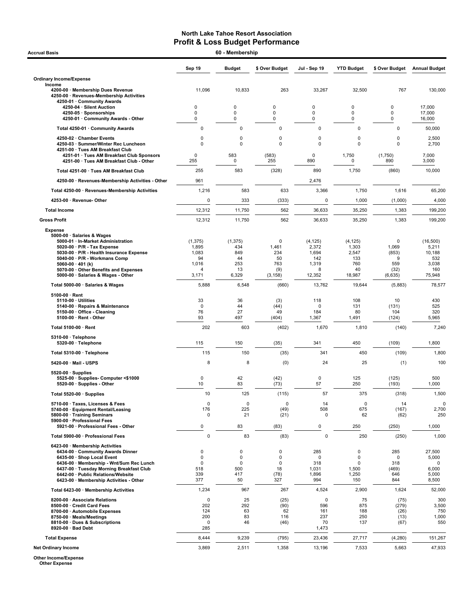| 60 - Membership<br><b>Accrual Basis</b>                                                                                                                                                                                                  |                                              |                                           |                                   |                                          |                                                |                                        |                                                 |
|------------------------------------------------------------------------------------------------------------------------------------------------------------------------------------------------------------------------------------------|----------------------------------------------|-------------------------------------------|-----------------------------------|------------------------------------------|------------------------------------------------|----------------------------------------|-------------------------------------------------|
|                                                                                                                                                                                                                                          | Sep 19                                       | <b>Budget</b>                             | \$ Over Budget                    | Jul - Sep 19                             | <b>YTD Budget</b>                              | \$ Over Budget                         | <b>Annual Budget</b>                            |
| <b>Ordinary Income/Expense</b>                                                                                                                                                                                                           |                                              |                                           |                                   |                                          |                                                |                                        |                                                 |
| Income<br>4200-00 · Membership Dues Revenue<br>4250-00 · Revenues-Membership Activities<br>4250-01 · Community Awards                                                                                                                    | 11,096                                       | 10,833                                    | 263                               | 33,267                                   | 32,500                                         | 767                                    | 130.000                                         |
| 4250-04 · Silent Auction<br>4250-05 · Sponsorships<br>4250-01 Community Awards - Other                                                                                                                                                   | 0<br>0<br>0                                  | 0<br>0<br>0                               | 0<br>0<br>0                       | 0<br>0<br>0                              | 0<br>$\mathbf 0$<br>$\pmb{0}$                  | 0<br>0<br>0                            | 17,000<br>17,000<br>16,000                      |
| Total 4250-01 · Community Awards                                                                                                                                                                                                         | $\mathbf 0$                                  | $\mathbf 0$                               | $\mathbf 0$                       | 0                                        | 0                                              | $\mathsf 0$                            | 50,000                                          |
| 4250-02 · Chamber Events<br>4250-03 · Summer/Winter Rec Luncheon<br>4251-00 · Tues AM Breakfast Club                                                                                                                                     | 0<br>0                                       | $\mathbf 0$<br>$\mathbf 0$                | 0<br>$\mathbf 0$                  | 0<br>0                                   | 0<br>$\mathbf 0$                               | $\mathbf 0$<br>$\mathbf 0$             | 2,500<br>2,700                                  |
| 4251-01 · Tues AM Breakfast Club Sponsors<br>4251-00 · Tues AM Breakfast Club - Other                                                                                                                                                    | $\Omega$<br>255                              | 583<br>0                                  | (583)<br>255                      | $\mathbf 0$<br>890                       | 1,750<br>0                                     | (1,750)<br>890                         | 7,000<br>3,000                                  |
| Total 4251-00 · Tues AM Breakfast Club                                                                                                                                                                                                   | 255                                          | 583                                       | (328)                             | 890                                      | 1,750                                          | (860)                                  | 10,000                                          |
| 4250-00 · Revenues-Membership Activities - Other                                                                                                                                                                                         | 961                                          |                                           |                                   | 2,476                                    |                                                |                                        |                                                 |
| Total 4250-00 · Revenues-Membership Activities                                                                                                                                                                                           | 1,216                                        | 583                                       | 633                               | 3,366                                    | 1,750                                          | 1,616                                  | 65,200                                          |
| 4253-00 · Revenue-Other                                                                                                                                                                                                                  | 0                                            | 333                                       | (333)                             | 0                                        | 1,000                                          | (1,000)                                | 4,000                                           |
| <b>Total Income</b>                                                                                                                                                                                                                      | 12,312                                       | 11,750                                    | 562                               | 36,633                                   | 35,250                                         | 1,383                                  | 199,200                                         |
| <b>Gross Profit</b>                                                                                                                                                                                                                      | 12,312                                       | 11,750                                    | 562                               | 36,633                                   | 35,250                                         | 1,383                                  | 199,200                                         |
| <b>Expense</b><br>5000-00 · Salaries & Wages<br>5000-01 · In-Market Administration                                                                                                                                                       | (1, 375)                                     | (1, 375)                                  | 0                                 | (4, 125)                                 | (4, 125)                                       | 0                                      | (16, 500)                                       |
| 5020-00 · P/R - Tax Expense                                                                                                                                                                                                              | 1,895                                        | 434                                       | 1,461                             | 2,372                                    | 1,303                                          | 1,069                                  | 5,211                                           |
| 5030-00 · P/R - Health Insurance Expense<br>5040-00 · P/R - Workmans Comp                                                                                                                                                                | 1,083<br>94                                  | 849<br>44                                 | 234<br>50                         | 1,694<br>142                             | 2,547<br>133                                   | (853)<br>9                             | 10,188<br>532                                   |
| 5060-00 $\cdot$ 401 (k)<br>5070-00 Other Benefits and Expenses                                                                                                                                                                           | 1,016<br>$\overline{4}$                      | 253<br>13                                 | 763<br>(9)                        | 1,319<br>8                               | 760<br>40                                      | 559<br>(32)                            | 3,038<br>160                                    |
| 5000-00 · Salaries & Wages - Other                                                                                                                                                                                                       | 3,171                                        | 6,329                                     | (3, 158)                          | 12,352                                   | 18,987                                         | (6, 635)                               | 75,948                                          |
| Total 5000-00 · Salaries & Wages                                                                                                                                                                                                         | 5,888                                        | 6,548                                     | (660)                             | 13,762                                   | 19,644                                         | (5,883)                                | 78,577                                          |
| 5100-00 · Rent                                                                                                                                                                                                                           |                                              |                                           |                                   |                                          |                                                |                                        |                                                 |
| $5110-00 \cdot$ Utilities<br>5140-00 · Repairs & Maintenance<br>5150-00 · Office - Cleaning<br>$5100-00 \cdot$ Rent - Other                                                                                                              | 33<br>0<br>76<br>93                          | 36<br>44<br>27<br>497                     | (3)<br>(44)<br>49<br>(404)        | 118<br>0<br>184<br>1,367                 | 108<br>131<br>80<br>1,491                      | 10<br>(131)<br>104<br>(124)            | 430<br>525<br>320<br>5,965                      |
| Total 5100-00 · Rent                                                                                                                                                                                                                     | 202                                          | 603                                       | (402)                             | 1,670                                    | 1,810                                          | (140)                                  | 7,240                                           |
| 5310-00 · Telephone<br>5320-00 · Telephone                                                                                                                                                                                               | 115                                          | 150                                       | (35)                              | 341                                      | 450                                            | (109)                                  | 1,800                                           |
| Total 5310-00 · Telephone                                                                                                                                                                                                                | 115                                          | 150                                       | (35)                              | 341                                      | 450                                            | (109)                                  | 1,800                                           |
| 5420-00 Mail USPS                                                                                                                                                                                                                        | 8                                            | 8                                         | (0)                               | 24                                       | 25                                             | (1)                                    | 100                                             |
| $5520-00 \cdot$ Supplies<br>5525-00 · Supplies- Computer <\$1000<br>5520-00 · Supplies - Other                                                                                                                                           | 0<br>10                                      | 42<br>83                                  | (42)<br>(73)                      | 0<br>57                                  | 125<br>250                                     | (125)<br>(193)                         | 500<br>1,000                                    |
| Total 5520-00 · Supplies                                                                                                                                                                                                                 | 10                                           | 125                                       | (115)                             | 57                                       | 375                                            | (318)                                  | 1,500                                           |
| 5710-00 · Taxes, Licenses & Fees<br>5740-00 · Equipment Rental/Leasing<br>5800-00 · Training Seminars                                                                                                                                    | 0<br>176<br>0                                | 0<br>225<br>21                            | 0<br>(49)<br>(21)                 | 14<br>508<br>0                           | $\mathbf 0$<br>675<br>62                       | 14<br>(167)<br>(62)                    | 0<br>2,700<br>250                               |
| 5900-00 · Professional Fees<br>5921-00 · Professional Fees - Other                                                                                                                                                                       | 0                                            | 83                                        | (83)                              | 0                                        | 250                                            | (250)                                  | 1,000                                           |
| Total 5900-00 · Professional Fees                                                                                                                                                                                                        | 0                                            | 83                                        | (83)                              | $\mathbf 0$                              | 250                                            | (250)                                  | 1,000                                           |
| 6423-00 · Membership Activities                                                                                                                                                                                                          |                                              |                                           |                                   |                                          |                                                |                                        |                                                 |
| 6434-00 · Community Awards Dinner<br>6435-00 · Shop Local Event<br>6436-00 · Membership - Wnt/Sum Rec Lunch<br>6437-00 · Tuesday Morning Breakfast Club<br>6442-00 · Public Relations/Website<br>6423-00 · Membership Activities - Other | 0<br>0<br>0<br>518<br>339<br>377             | 0<br>$\mathbf 0$<br>0<br>500<br>417<br>50 | 0<br>0<br>0<br>18<br>(78)<br>327  | 285<br>0<br>318<br>1,031<br>1,896<br>994 | 0<br>0<br>$\mathbf 0$<br>1,500<br>1,250<br>150 | 285<br>0<br>318<br>(469)<br>646<br>844 | 27,500<br>5,000<br>0<br>6,000<br>5,000<br>8,500 |
| Total 6423-00 · Membership Activities                                                                                                                                                                                                    | 1,234                                        | 967                                       | 267                               | 4,524                                    | 2,900                                          | 1,624                                  | 52,000                                          |
| 8200-00 · Associate Relations<br>8500-00 Credit Card Fees<br>8700-00 · Automobile Expenses<br>8750-00 · Meals/Meetings<br>8810-00 · Dues & Subscriptions<br>8920-00 · Bad Debt                                                           | $\mathbf 0$<br>202<br>124<br>200<br>0<br>285 | 25<br>292<br>63<br>83<br>46               | (25)<br>(90)<br>62<br>116<br>(46) | 0<br>596<br>161<br>237<br>70<br>1,473    | 75<br>875<br>188<br>250<br>137                 | (75)<br>(279)<br>(26)<br>(13)<br>(67)  | 300<br>3,500<br>750<br>1,000<br>550             |
| <b>Total Expense</b>                                                                                                                                                                                                                     | 8,444                                        | 9,239                                     | (795)                             | 23,436                                   | 27,717                                         | (4, 280)                               | 151,267                                         |
| <b>Net Ordinary Income</b>                                                                                                                                                                                                               | 3,869                                        | 2,511                                     | 1,358                             | 13,196                                   | 7,533                                          | 5,663                                  | 47,933                                          |

Other Income/Expense Other Expense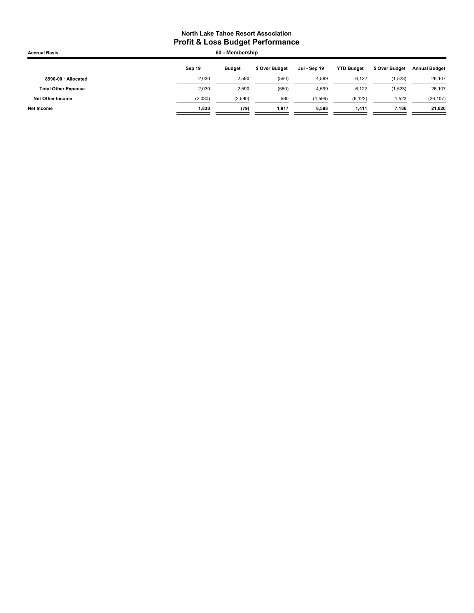| <b>Accrual Basis</b>       |         | 60 - Membership |                |              |                   |                |                      |
|----------------------------|---------|-----------------|----------------|--------------|-------------------|----------------|----------------------|
|                            | Sep 19  | <b>Budget</b>   | \$ Over Budget | Jul - Sep 19 | <b>YTD Budget</b> | \$ Over Budget | <b>Annual Budget</b> |
| 8990-00 · Allocated        | 2,030   | 2,590           | (560)          | 4,599        | 6,122             | (1,523)        | 26,107               |
| <b>Total Other Expense</b> | 2.030   | 2,590           | (560)          | 4.599        | 6,122             | (1,523)        | 26,107               |
| Net Other Income           | (2,030) | (2,590)         | 560            | (4, 599)     | (6, 122)          | 1,523          | (26, 107)            |
| Net Income                 | 1,838   | (79)            | 1,917          | 8,598        | 1,411             | 7,186          | 21,826               |